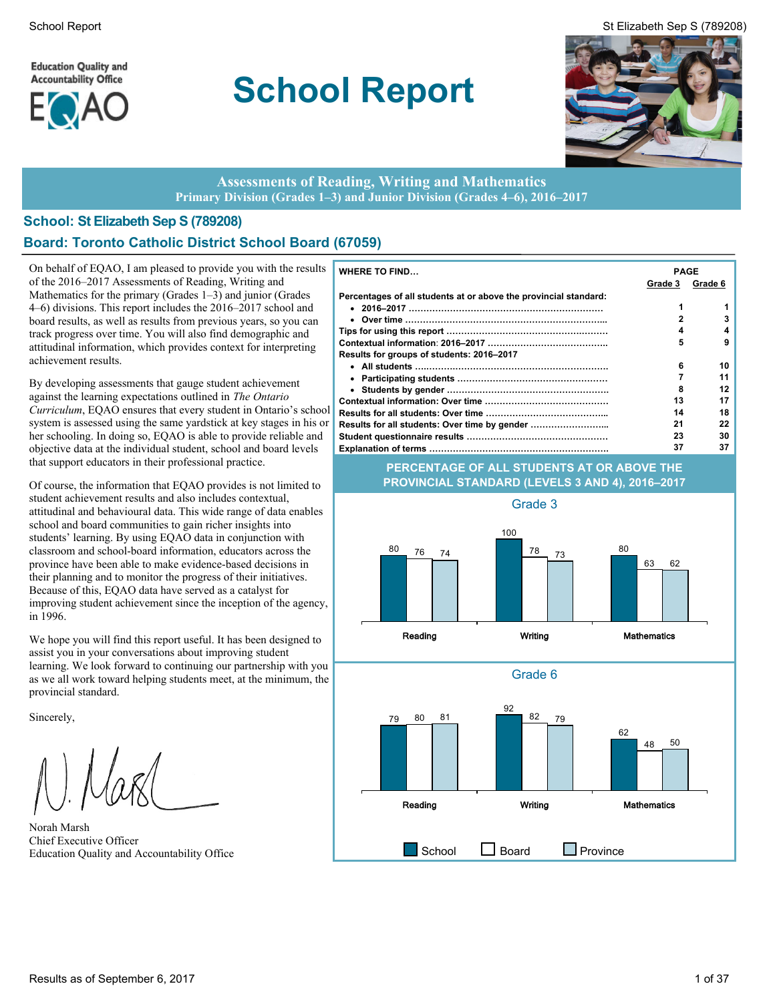**Education Quality and Accountability Office** 



# **School Report**





#### **Assessments of Reading, Writing and Mathematics Primary Division (Grades 1–3) and Junior Division (Grades 4–6), 2016–2017**

### **School: St Elizabeth Sep S (789208) Board: Toronto Catholic District School Board (67059)**

On behalf of EQAO, I am pleased to provide you with the results  $\| \mathbf{v} \|$ of the 2016–2017 Assessments of Reading, Writing and Mathematics for the primary (Grades 1–3) and junior (Grades 4–6) divisions. This report includes the 2016–2017 school and board results, as well as results from previous years, so you can track progress over time. You will also find demographic and attitudinal information, which provides context for interpreting achievement results.

By developing assessments that gauge student achievement against the learning expectations outlined in *The Ontario Curriculum*, EQAO ensures that every student in Ontario's school system is assessed using the same yardstick at key stages in his or her schooling. In doing so, EQAO is able to provide reliable and objective data at the individual student, school and board levels that support educators in their professional practice.

Of course, the information that EQAO provides is not limited to student achievement results and also includes contextual, attitudinal and behavioural data. This wide range of data enables school and board communities to gain richer insights into students' learning. By using EQAO data in conjunction with classroom and school-board information, educators across the province have been able to make evidence-based decisions in their planning and to monitor the progress of their initiatives. Because of this, EQAO data have served as a catalyst for improving student achievement since the inception of the agency, in 1996.

We hope you will find this report useful. It has been designed to assist you in your conversations about improving student learning. We look forward to continuing our partnership with you as we all work toward helping students meet, at the minimum, the provincial standard.

Sincerely,

Norah Marsh Chief Executive Officer

| <b>WHERE TO FIND</b>                                             | <b>PAGE</b> |         |
|------------------------------------------------------------------|-------------|---------|
|                                                                  | Grade 3     | Grade 6 |
| Percentages of all students at or above the provincial standard: |             |         |
|                                                                  |             |         |
|                                                                  |             | 3       |
|                                                                  | 4           |         |
|                                                                  | 5           | 9       |
| Results for groups of students: 2016–2017                        |             |         |
|                                                                  | 6           | 10      |
|                                                                  |             | 11      |
|                                                                  | 8           | 12      |
|                                                                  | 13          | 17      |
|                                                                  | 14          | 18      |
| Results for all students: Over time by gender                    | 21          | 22      |
|                                                                  | 23          | 30      |
|                                                                  | 37          | 37      |

#### **PERCENTAGE OF ALL STUDENTS AT OR ABOVE THE PROVINCIAL STANDARD (LEVELS 3 AND 4), 2016–2017**



Grade 6

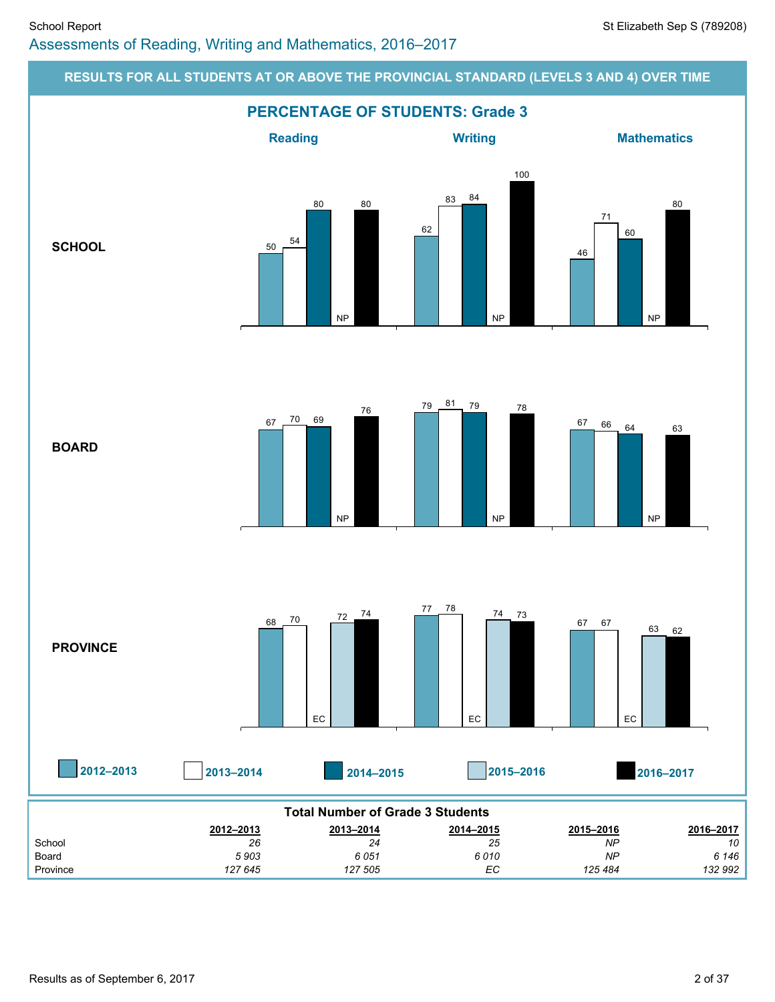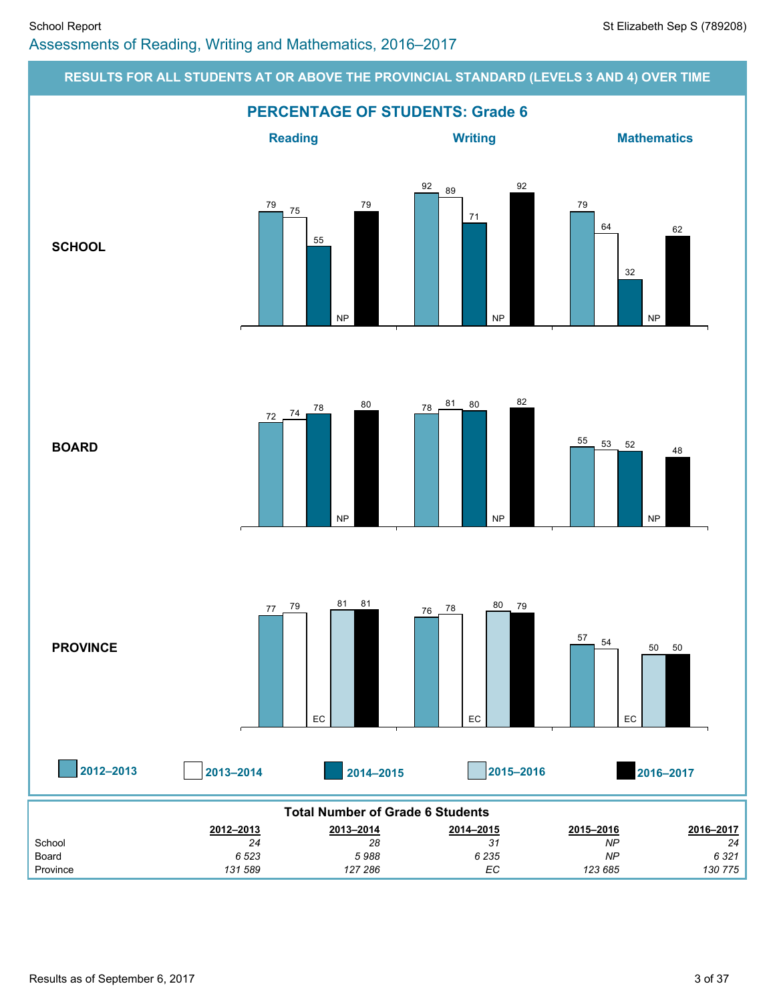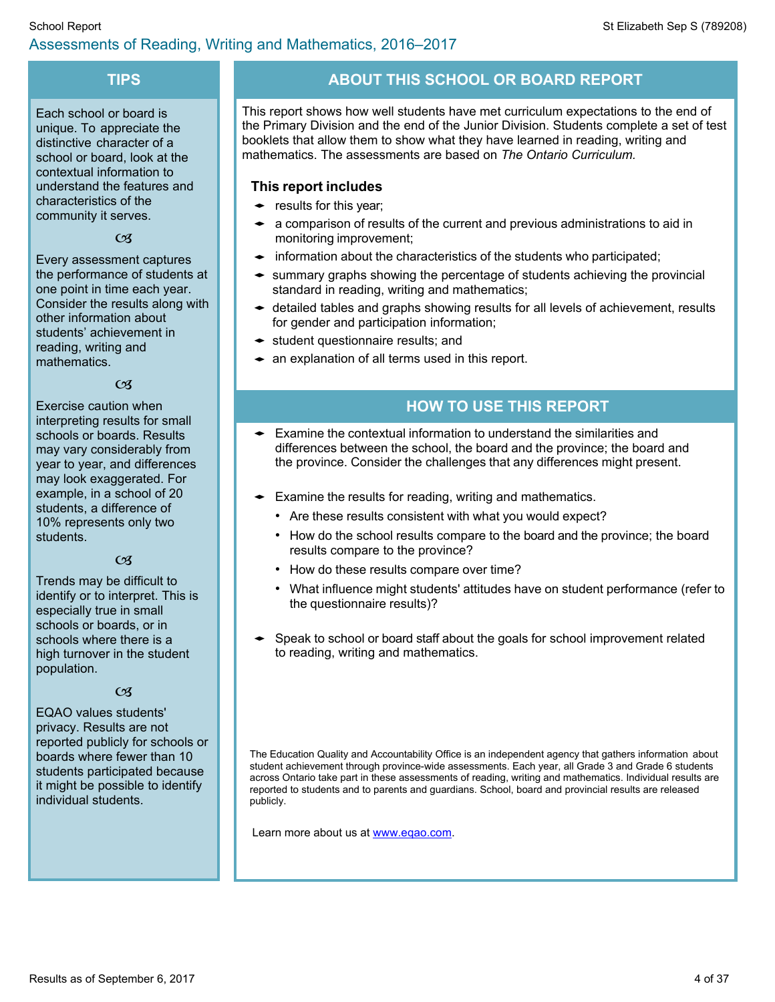# **TIPS**

Each school or board is unique. To appreciate the distinctive character of a school or board, look at the contextual information to understand the features and characteristics of the community it serves.

 $\mathfrak{G}$ 

Every assessment captures the performance of students at one point in time each year. Consider the results along with other information about students' achievement in reading, writing and mathematics.

 $\alpha$ 

Exercise caution when interpreting results for small schools or boards. Results may vary considerably from year to year, and differences may look exaggerated. For example, in a school of 20 students, a difference of 10% represents only two students.

#### $CZ$

Trends may be difficult to identify or to interpret. This is especially true in small schools or boards, or in schools where there is a high turnover in the student population.

#### $CZ$

EQAO values students' privacy. Results are not reported publicly for schools or boards where fewer than 10 students participated because it might be possible to identify individual students.

# **ABOUT THIS SCHOOL OR BOARD REPORT**

This report shows how well students have met curriculum expectations to the end of the Primary Division and the end of the Junior Division. Students complete a set of test booklets that allow them to show what they have learned in reading, writing and mathematics. The assessments are based on *The Ontario Curriculum.*

### **This report includes**

- $\bullet$  results for this year;
- $\bullet$  a comparison of results of the current and previous administrations to aid in monitoring improvement;
- $\bullet$  information about the characteristics of the students who participated;
- $\bullet$  summary graphs showing the percentage of students achieving the provincial standard in reading, writing and mathematics;
- $\bullet$  detailed tables and graphs showing results for all levels of achievement, results for gender and participation information;
- $\bullet$  student questionnaire results; and
- $\bullet$  an explanation of all terms used in this report.

# **HOW TO USE THIS REPORT**

- Examine the contextual information to understand the similarities and differences between the school, the board and the province; the board and the province. Consider the challenges that any differences might present.
- $\bullet$  Examine the results for reading, writing and mathematics.
	- Are these results consistent with what you would expect?
	- How do the school results compare to the board and the province; the board results compare to the province?
	- How do these results compare over time?
	- What influence might students' attitudes have on student performance (refer to the questionnaire results)?
- Speak to school or board staff about the goals for school improvement related to reading, writing and mathematics.

The Education Quality and Accountability Office is an independent agency that gathers information about student achievement through province-wide assessments. Each year, all Grade 3 and Grade 6 students across Ontario take part in these assessments of reading, writing and mathematics. Individual results are reported to students and to parents and guardians. School, board and provincial results are released publicly.

Learn more about us at [www.eqao.com.](http://www.eqao.com/)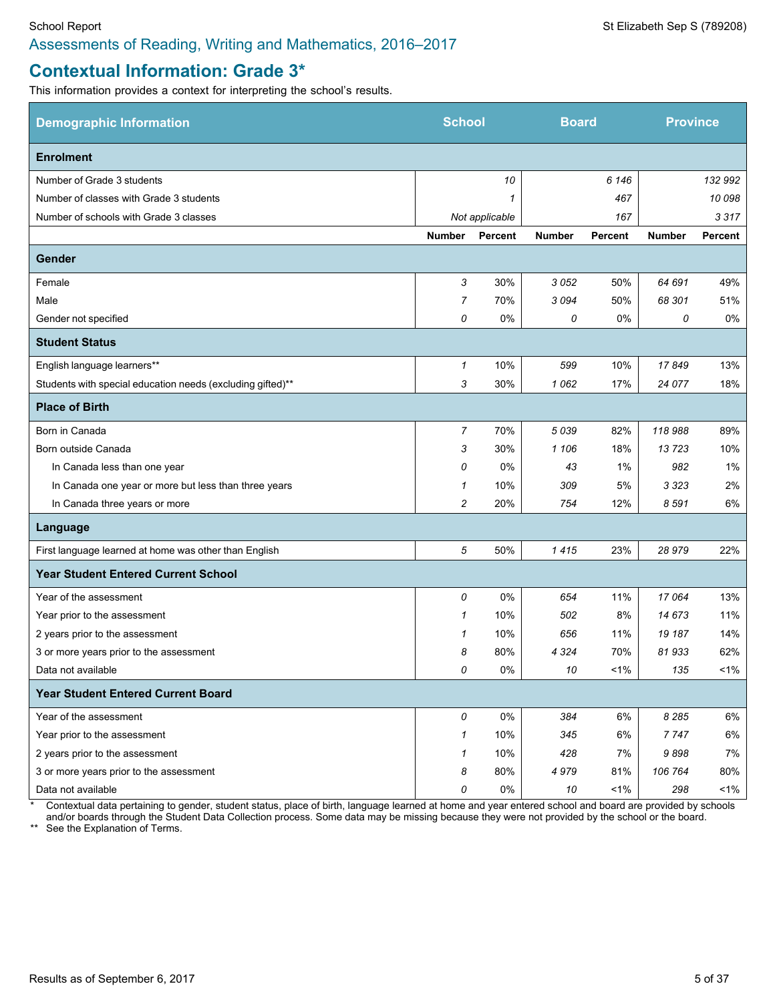# **Contextual Information: Grade 3\***

п

This information provides a context for interpreting the school's results.

| <b>Demographic Information</b>                             | <b>School</b>  |                | <b>Board</b>  |                | <b>Province</b> |         |
|------------------------------------------------------------|----------------|----------------|---------------|----------------|-----------------|---------|
| <b>Enrolment</b>                                           |                |                |               |                |                 |         |
| Number of Grade 3 students                                 |                | 10             |               | 6 1 4 6        |                 | 132 992 |
| Number of classes with Grade 3 students                    |                | 1              |               | 467            |                 | 10 098  |
| Number of schools with Grade 3 classes                     |                | Not applicable |               | 167            |                 | 3317    |
|                                                            | <b>Number</b>  | <b>Percent</b> | <b>Number</b> | <b>Percent</b> | <b>Number</b>   | Percent |
| Gender                                                     |                |                |               |                |                 |         |
| Female                                                     | 3              | 30%            | 3052          | 50%            | 64 691          | 49%     |
| Male                                                       | 7              | 70%            | 3094          | 50%            | 68 301          | 51%     |
| Gender not specified                                       | 0              | 0%             | 0             | 0%             | 0               | 0%      |
| <b>Student Status</b>                                      |                |                |               |                |                 |         |
| English language learners**                                | $\mathbf{1}$   | 10%            | 599           | 10%            | 17849           | 13%     |
| Students with special education needs (excluding gifted)** | 3              | 30%            | 1062          | 17%            | 24 077          | 18%     |
| <b>Place of Birth</b>                                      |                |                |               |                |                 |         |
| Born in Canada                                             | $\overline{7}$ | 70%            | 5039          | 82%            | 118988          | 89%     |
| Born outside Canada                                        | 3              | 30%            | 1 106         | 18%            | 13723           | 10%     |
| In Canada less than one year                               | 0              | 0%             | 43            | 1%             | 982             | 1%      |
| In Canada one year or more but less than three years       | 1              | 10%            | 309           | 5%             | 3 323           | 2%      |
| In Canada three years or more                              | $\overline{c}$ | 20%            | 754           | 12%            | 8591            | 6%      |
| Language                                                   |                |                |               |                |                 |         |
| First language learned at home was other than English      | 5              | 50%            | 1415          | 23%            | 28979           | 22%     |
| <b>Year Student Entered Current School</b>                 |                |                |               |                |                 |         |
| Year of the assessment                                     | 0              | 0%             | 654           | 11%            | 17064           | 13%     |
| Year prior to the assessment                               | 1              | 10%            | 502           | 8%             | 14 673          | 11%     |
| 2 years prior to the assessment                            | 1              | 10%            | 656           | 11%            | 19 187          | 14%     |
| 3 or more years prior to the assessment                    | 8              | 80%            | 4 3 2 4       | 70%            | 81933           | 62%     |
| Data not available                                         | 0              | 0%             | 10            | $1\%$          | 135             | $1\%$   |
| <b>Year Student Entered Current Board</b>                  |                |                |               |                |                 |         |
| Year of the assessment                                     | 0              | 0%             | 384           | 6%             | 8 2 8 5         | 6%      |
| Year prior to the assessment                               | 1              | 10%            | 345           | 6%             | 7747            | 6%      |
| 2 years prior to the assessment                            | $\mathbf{1}$   | 10%            | 428           | 7%             | 9898            | 7%      |
| 3 or more years prior to the assessment                    | 8              | 80%            | 4979          | 81%            | 106 764         | 80%     |
| Data not available                                         | 0              | 0%             | 10            | $1\%$          | 298             | $1\%$   |

\* Contextual data pertaining to gender, student status, place of birth, language learned at home and year entered school and board are provided by schools

and/or boards through the Student Data Collection process. Some data may be missing because they were not provided by the school or the board.

\*\* See the Explanation of Terms.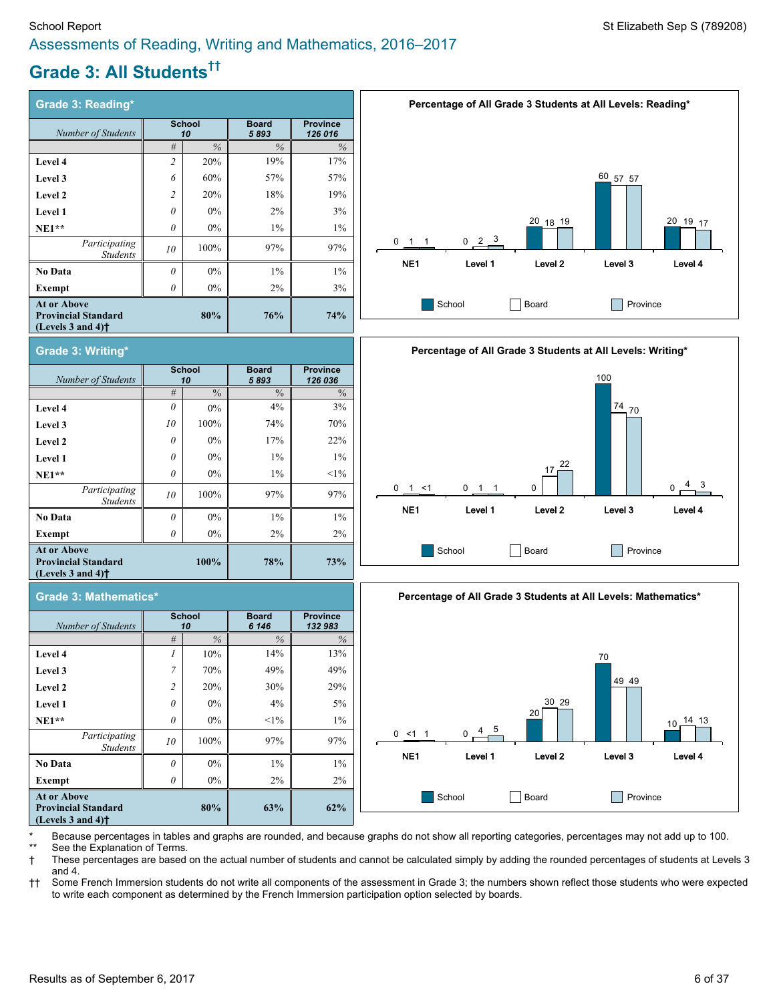# **Grade 3: All Students ††**

**Grade 3: Writing\***

*Number of Students*

*Participating*

**Grade 3: Mathematics\***

*Number of Students*

**At or Above Provincial Standard (Levels 3 and 4)†**

| <b>Grade 3: Reading*</b>                                                                                  |                     |       |                      |                            |  |  |  |  |
|-----------------------------------------------------------------------------------------------------------|---------------------|-------|----------------------|----------------------------|--|--|--|--|
| Number of Students                                                                                        | <b>School</b><br>10 |       | <b>Board</b><br>5893 | <b>Province</b><br>126 016 |  |  |  |  |
|                                                                                                           | $\frac{0}{6}$<br>#  |       | $\frac{0}{6}$        | $\%$                       |  |  |  |  |
| Level 4                                                                                                   | $\overline{c}$      | 20%   | 19%                  | 17%                        |  |  |  |  |
| Level 3                                                                                                   | 6                   | 60%   | 57%                  | 57%                        |  |  |  |  |
| Level 2                                                                                                   | $\overline{2}$      | 20%   | 18%                  | 19%                        |  |  |  |  |
| Level 1                                                                                                   | $\theta$            | $0\%$ | $2\%$                | 3%                         |  |  |  |  |
| $NE1**$                                                                                                   | $\theta$            | $0\%$ | $1\%$                | $1\%$                      |  |  |  |  |
| Participating<br><b>Students</b>                                                                          | 10                  | 100%  | 97%                  | 97%                        |  |  |  |  |
| No Data                                                                                                   | $\theta$            | $0\%$ | $1\%$                | $1\%$                      |  |  |  |  |
| Exempt                                                                                                    | 0                   | $0\%$ | $2\%$                | 3%                         |  |  |  |  |
| <b>At or Above</b><br><b>Provincial Standard</b><br>(Levels $3$ and $4$ ) <sup><math>\dagger</math></sup> |                     | 80%   | 76%                  | 74%                        |  |  |  |  |

**School** *10*

**Level 4** *0* 0% 4% 3% **Level 3 10 100% 100% 74% 74% 70% Level 2** *0* 0% 17% 22% **Level 1** *0* 0% 1% 1% **NE1\*\*** *0* 0% 1% <1%

**No Data**  $\begin{array}{|c|c|c|c|c|c|} \hline \end{array}$  0% 1% 1% 1% 1% **Exempt** *0* 0% 2% 2%

> **School** *10*

*Students <sup>10</sup>* 100% 97% 97%

**Board** *5 893*

*#* % % %

**100% 78% 73%**

**Board** *6 146*

*# % % %*

**Province** *126 036*

**Province** *132 983*







| Because percentages in tables and graphs are rounded, and because graphs do not show all reporting categories, percentages may not add up to 100. |
|---------------------------------------------------------------------------------------------------------------------------------------------------|
| ** See the Explanation of Terms.                                                                                                                  |

† These percentages are based on the actual number of students and cannot be calculated simply by adding the rounded percentages of students at Levels 3 and 4.

†† Some French Immersion students do not write all components of the assessment in Grade 3; the numbers shown reflect those students who were expected to write each component as determined by the French Immersion participation option selected by boards.

# **Level 4 1 1 1 10% 14% 14% 13% Level 3 7 70% 49% 49% 49%**

| At or Above<br><b>Provincial Standard</b><br>(Levels $3$ and $4$ ) <sup><math>\dagger</math></sup> |                | 80%   | 63%    | 62% |
|----------------------------------------------------------------------------------------------------|----------------|-------|--------|-----|
| Exempt                                                                                             | 0              | $0\%$ | $2\%$  | 2%  |
| <b>No Data</b>                                                                                     | 0              | $0\%$ | $1\%$  | 1%  |
| Participating<br><b>Students</b>                                                                   | 10             | 100%  | 97%    | 97% |
| $NE1**$                                                                                            | 0              | $0\%$ | $<1\%$ | 1%  |
| <b>Level 1</b>                                                                                     | $\theta$       | $0\%$ | 4%     | 5%  |
| Level 2                                                                                            | $\overline{2}$ | 20%   | 30%    | 29% |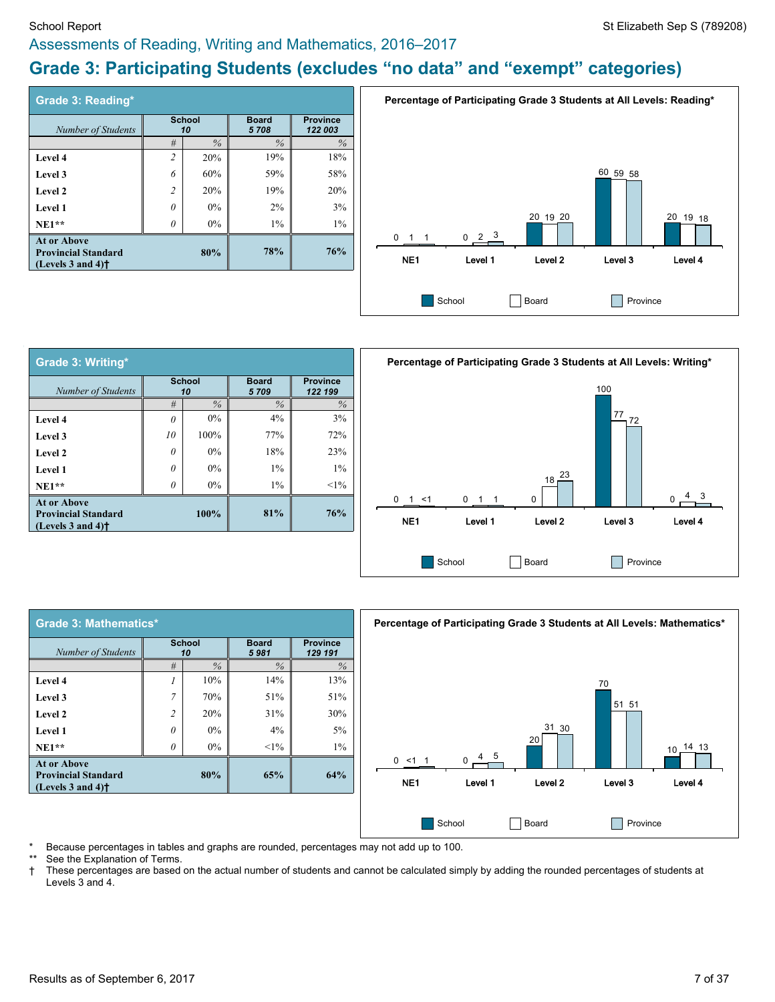#### School Report St Elizabeth Sep S (789208) Assessments of Reading, Writing and Mathematics, 2016–2017

# **Grade 3: Participating Students (excludes "no data" and "exempt" categories)**

| Grade 3: Reading*                                                                                         |                |                     |                      |                            |
|-----------------------------------------------------------------------------------------------------------|----------------|---------------------|----------------------|----------------------------|
| Number of Students                                                                                        |                | <b>School</b><br>10 | <b>Board</b><br>5708 | <b>Province</b><br>122 003 |
|                                                                                                           | #              | $\frac{0}{6}$       | $\frac{0}{6}$        | $\%$                       |
| Level 4                                                                                                   | $\overline{c}$ | 20%                 | 19%                  | 18%                        |
| Level 3                                                                                                   | 6              | 60%                 | 59%                  | 58%                        |
| Level 2                                                                                                   | $\overline{c}$ | 20%                 | 19%                  | 20%                        |
| Level 1                                                                                                   | 0              | 0%                  | 2%                   | 3%                         |
| $NE1**$                                                                                                   | 0              | $0\%$               | $1\%$                | $1\%$                      |
| <b>At or Above</b><br><b>Provincial Standard</b><br>(Levels $3$ and $4$ ) <sup><math>\dagger</math></sup> |                | 80%                 | 78%                  | 76%                        |



| <b>Grade 3: Writing*</b>                                                                                  |                     |       |                      |                            |
|-----------------------------------------------------------------------------------------------------------|---------------------|-------|----------------------|----------------------------|
| Number of Students                                                                                        | <b>School</b><br>10 |       | <b>Board</b><br>5709 | <b>Province</b><br>122 199 |
|                                                                                                           | #                   | $\%$  | $\%$                 | $\%$                       |
| Level 4                                                                                                   | $\theta$            | $0\%$ | $4\%$                | 3%                         |
| Level 3                                                                                                   | 10                  | 100%  | 77%                  | 72%                        |
| Level 2                                                                                                   | 0                   | $0\%$ | 18%                  | 23%                        |
| Level 1                                                                                                   | 0                   | 0%    | $1\%$                | $1\%$                      |
| $NE1**$                                                                                                   | $\theta$            | $0\%$ | $1\%$                | $<1\%$                     |
| <b>At or Above</b><br><b>Provincial Standard</b><br>(Levels $3$ and $4$ ) <sup><math>\dagger</math></sup> |                     | 100%  | 81%                  | 76%                        |

**School** *10*





Because percentages in tables and graphs are rounded, percentages may not add up to 100.

**Board** *5 981*

See the Explanation of Terms.

**Grade 3: Mathematics\***

*Number of Students*

**At or Above Provincial Standard (Levels 3 and 4)†**

† These percentages are based on the actual number of students and cannot be calculated simply by adding the rounded percentages of students at Levels 3 and 4.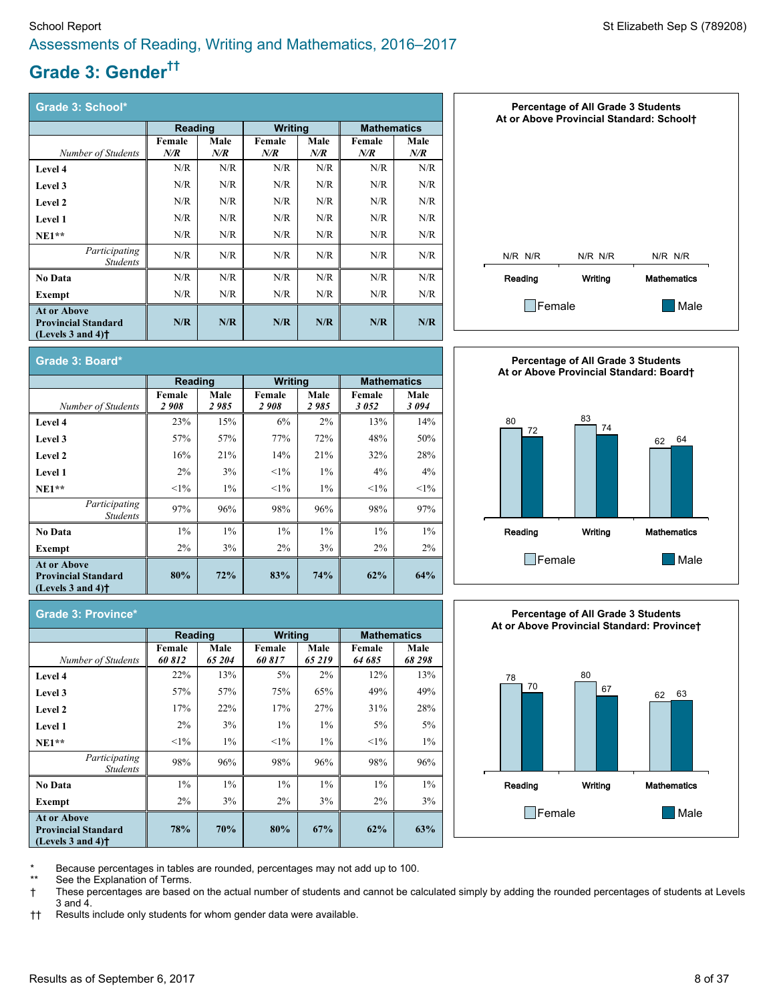# **Grade 3: Gender ††**

| Grade 3: School*                                                                                          |               |                |                  |             |               |                    |  |  |
|-----------------------------------------------------------------------------------------------------------|---------------|----------------|------------------|-------------|---------------|--------------------|--|--|
|                                                                                                           | Reading       |                | <b>Writing</b>   |             |               | <b>Mathematics</b> |  |  |
| Number of Students                                                                                        | Female<br>N/R | Male<br>$N\!R$ | Female<br>$N\!R$ | Male<br>N/R | Female<br>N/R | Male<br>N/R        |  |  |
| <b>Level 4</b>                                                                                            | N/R           | N/R            | N/R              | N/R         | N/R           | N/R                |  |  |
| Level 3                                                                                                   | N/R           | N/R            | N/R              | N/R         | N/R           | N/R                |  |  |
| Level 2                                                                                                   | N/R           | N/R            | N/R              | N/R         | N/R           | N/R                |  |  |
| Level 1                                                                                                   | N/R           | N/R            | N/R              | N/R         | N/R           | N/R                |  |  |
| $NE1**$                                                                                                   | N/R           | N/R            | N/R              | N/R         | N/R           | N/R                |  |  |
| Participating<br><b>Students</b>                                                                          | N/R           | N/R            | N/R              | N/R         | N/R           | N/R                |  |  |
| <b>No Data</b>                                                                                            | N/R           | N/R            | N/R              | N/R         | N/R           | N/R                |  |  |
| Exempt                                                                                                    | N/R           | N/R            | N/R              | N/R         | N/R           | N/R                |  |  |
| <b>At or Above</b><br><b>Provincial Standard</b><br>(Levels $3$ and $4$ ) <sup><math>\dagger</math></sup> | N/R           | N/R            | N/R              | N/R         | N/R           | N/R                |  |  |







# **Grade 3: Board\***

|                                                                                                           | <b>Reading</b> |               | <b>Writing</b> |              | <b>Mathematics</b> |               |  |
|-----------------------------------------------------------------------------------------------------------|----------------|---------------|----------------|--------------|--------------------|---------------|--|
| Number of Students                                                                                        | Female<br>2908 | Male<br>2 985 | Female<br>2908 | Male<br>2985 | Female<br>3052     | Male<br>3 094 |  |
| <b>Level 4</b>                                                                                            | 23%            | 15%           | 6%             | $2\%$        | 13%                | 14%           |  |
| <b>Level 3</b>                                                                                            | 57%            | 57%           | 77%            | 72%          | 48%                | 50%           |  |
| Level 2                                                                                                   | 16%            | 21%           | 14%            | 21%          | 32%                | 28%           |  |
| <b>Level 1</b>                                                                                            | $2\%$          | 3%            | $<1\%$         | $1\%$        | 4%                 | $4\%$         |  |
| $NE1**$                                                                                                   | $<1\%$         | $1\%$         | $<1\%$         | $1\%$        | $<1\%$             | $<1\%$        |  |
| Participating<br><b>Students</b>                                                                          | 97%            | 96%           | 98%            | 96%          | 98%                | 97%           |  |
| <b>No Data</b>                                                                                            | $1\%$          | $1\%$         | $1\%$          | $1\%$        | $1\%$              | $1\%$         |  |
| Exempt                                                                                                    | $2\%$          | 3%            | $2\%$          | 3%           | $2\%$              | $2\%$         |  |
| <b>At or Above</b><br><b>Provincial Standard</b><br>(Levels $3$ and $4$ ) <sup><math>\dagger</math></sup> | 80%            | 72%           | 83%            | 74%          | 62%                | 64%           |  |

#### **Grade 3: Province\* Reading Writing Mathematics** *Number of Students* **Female** *60 812* **Male** *65 204* **Female** *60 817* **Male** *65 219* **Female** *64 685* **Male** *68 298* **Level 4** 22% 13% 5% 2% 12% 13% **Level 3 1 57% 1 <b>57%** 1 **57% 1 75% 1 65% 1 49% 49% 49% Level 2 2 28% 22% 22% 27% 28% 28% Level 1** 2% 3% 1% 1% 3% 5% 5% **NE1\*\*** <1% 1% <1% 1% <1% 1% *Participating Students* 98% 96% 98% 96% 98% 96% **No Data** 1% 1% 1% 1% 1% 1% **Exempt** 2% 3% 2% 3% 2% 3% **At or Above Provincial Standard (Levels 3 and 4)† 78% 70% 80% 67% 62% 63%**

Because percentages in tables are rounded, percentages may not add up to 100.

See the Explanation of Terms.

† These percentages are based on the actual number of students and cannot be calculated simply by adding the rounded percentages of students at Levels 3 and 4.

†† Results include only students for whom gender data were available.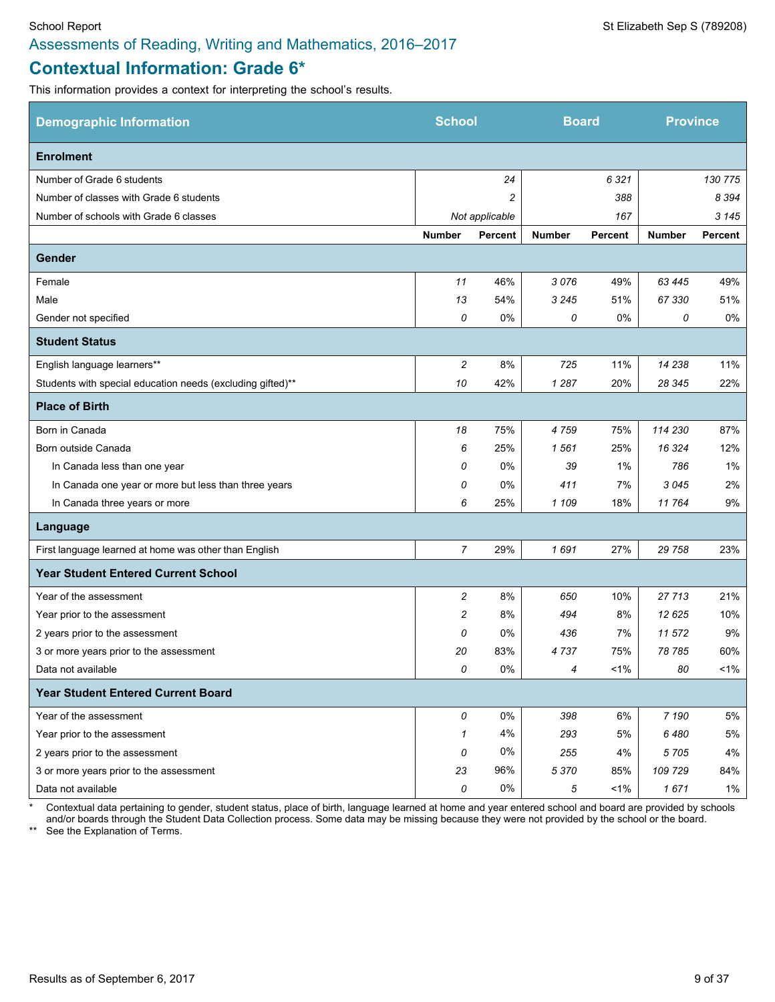# **Contextual Information: Grade 6\***

This information provides a context for interpreting the school's results.

| <b>Demographic Information</b>                             | <b>School</b>  |                | <b>Board</b>  |                | <b>Province</b> |                |
|------------------------------------------------------------|----------------|----------------|---------------|----------------|-----------------|----------------|
| <b>Enrolment</b>                                           |                |                |               |                |                 |                |
| Number of Grade 6 students                                 |                | 24             |               | 6 3 2 1        |                 | 130 775        |
| Number of classes with Grade 6 students                    |                | $\overline{c}$ |               | 388            |                 | 8 3 9 4        |
| Number of schools with Grade 6 classes                     |                | Not applicable |               | 167            |                 | 3 1 4 5        |
|                                                            | <b>Number</b>  | <b>Percent</b> | <b>Number</b> | <b>Percent</b> | <b>Number</b>   | <b>Percent</b> |
| Gender                                                     |                |                |               |                |                 |                |
| Female                                                     | 11             | 46%            | 3076          | 49%            | 63 4 45         | 49%            |
| Male                                                       | 13             | 54%            | 3 2 4 5       | 51%            | 67 330          | 51%            |
| Gender not specified                                       | 0              | 0%             | 0             | 0%             | 0               | 0%             |
| <b>Student Status</b>                                      |                |                |               |                |                 |                |
| English language learners**                                | $\overline{c}$ | 8%             | 725           | 11%            | 14 238          | 11%            |
| Students with special education needs (excluding gifted)** | 10             | 42%            | 1 2 8 7       | 20%            | 28 345          | 22%            |
| <b>Place of Birth</b>                                      |                |                |               |                |                 |                |
| Born in Canada                                             | 18             | 75%            | 4759          | 75%            | 114 230         | 87%            |
| Born outside Canada                                        | 6              | 25%            | 1561          | 25%            | 16 3 24         | 12%            |
| In Canada less than one year                               | 0              | 0%             | 39            | 1%             | 786             | 1%             |
| In Canada one year or more but less than three years       | 0              | 0%             | 411           | 7%             | 3045            | 2%             |
| In Canada three years or more                              | 6              | 25%            | 1 109         | 18%            | 11764           | 9%             |
| Language                                                   |                |                |               |                |                 |                |
| First language learned at home was other than English      | 7              | 29%            | 1691          | 27%            | 29 758          | 23%            |
| <b>Year Student Entered Current School</b>                 |                |                |               |                |                 |                |
| Year of the assessment                                     | $\overline{c}$ | 8%             | 650           | 10%            | 27713           | 21%            |
| Year prior to the assessment                               | 2              | 8%             | 494           | 8%             | 12625           | 10%            |
| 2 years prior to the assessment                            | 0              | 0%             | 436           | 7%             | 11 572          | 9%             |
| 3 or more years prior to the assessment                    | 20             | 83%            | 4737          | 75%            | 78 785          | 60%            |
| Data not available                                         | 0              | $0\%$          | 4             | $1\%$          | 80              | 1%             |
| <b>Year Student Entered Current Board</b>                  |                |                |               |                |                 |                |
| Year of the assessment                                     | 0              | 0%             | 398           | 6%             | 7 190           | 5%             |
| Year prior to the assessment                               | 1              | 4%             | 293           | 5%             | 6480            | $5\%$          |
| 2 years prior to the assessment                            | 0              | 0%             | 255           | 4%             | 5705            | 4%             |
| 3 or more years prior to the assessment                    | 23             | 96%            | 5 3 7 0       | 85%            | 109 729         | 84%            |
| Data not available                                         | 0              | $0\%$          | 5             | $1\%$          | 1671            | $1\%$          |

Contextual data pertaining to gender, student status, place of birth, language learned at home and year entered school and board are provided by schools and/or boards through the Student Data Collection process. Some data may be missing because they were not provided by the school or the board.

\*\* See the Explanation of Terms.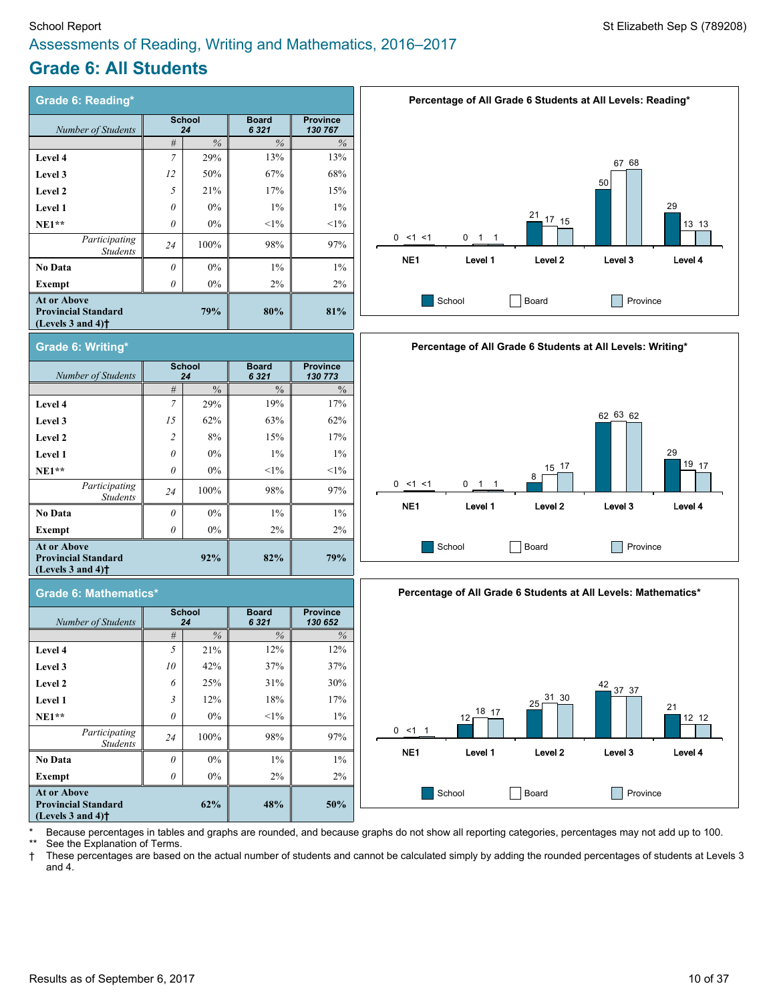### School Report St Elizabeth Sep S (789208) Assessments of Reading, Writing and Mathematics, 2016–2017

# **Grade 6: All Students**

| <b>Grade 6: Reading*</b>                                                                                  |                     |            |                         |                            |  |  |  |  |
|-----------------------------------------------------------------------------------------------------------|---------------------|------------|-------------------------|----------------------------|--|--|--|--|
| Number of Students                                                                                        | <b>School</b><br>24 |            | <b>Board</b><br>6 3 2 1 | <b>Province</b><br>130 767 |  |  |  |  |
|                                                                                                           | $\frac{0}{0}$<br>#  |            | $\%$                    | $\%$                       |  |  |  |  |
| Level 4                                                                                                   | 7                   | 29%        | 13%                     | 13%                        |  |  |  |  |
| Level 3                                                                                                   | 12                  | 50%        | 67%                     | 68%                        |  |  |  |  |
| Level 2                                                                                                   | 5                   | 21%        | 17%                     | 15%                        |  |  |  |  |
| Level 1                                                                                                   | $\theta$            | $0\%$      | $1\%$                   | $1\%$                      |  |  |  |  |
| $NE1**$                                                                                                   | $\theta$            | $0\%$      | $<1\%$                  | $<1\%$                     |  |  |  |  |
| Participating<br><b>Students</b>                                                                          | 24                  | 100%       | 98%                     | 97%                        |  |  |  |  |
| No Data                                                                                                   | $\theta$            | $0\%$      | $1\%$                   | $1\%$                      |  |  |  |  |
| Exempt                                                                                                    | 0                   | $0\%$      | $2\%$                   | 2%                         |  |  |  |  |
| <b>At or Above</b><br><b>Provincial Standard</b><br>(Levels $3$ and $4$ ) <sup><math>\dagger</math></sup> |                     | <b>79%</b> | 80%                     | 81%                        |  |  |  |  |
| $\mathbf{r}$ . As a set of the set of $\mathbf{r}$                                                        |                     |            |                         |                            |  |  |  |  |











Because percentages in tables and graphs are rounded, and because graphs do not show all reporting categories, percentages may not add up to 100.

See the Explanation of Terms.

† These percentages are based on the actual number of students and cannot be calculated simply by adding the rounded percentages of students at Levels 3 and 4.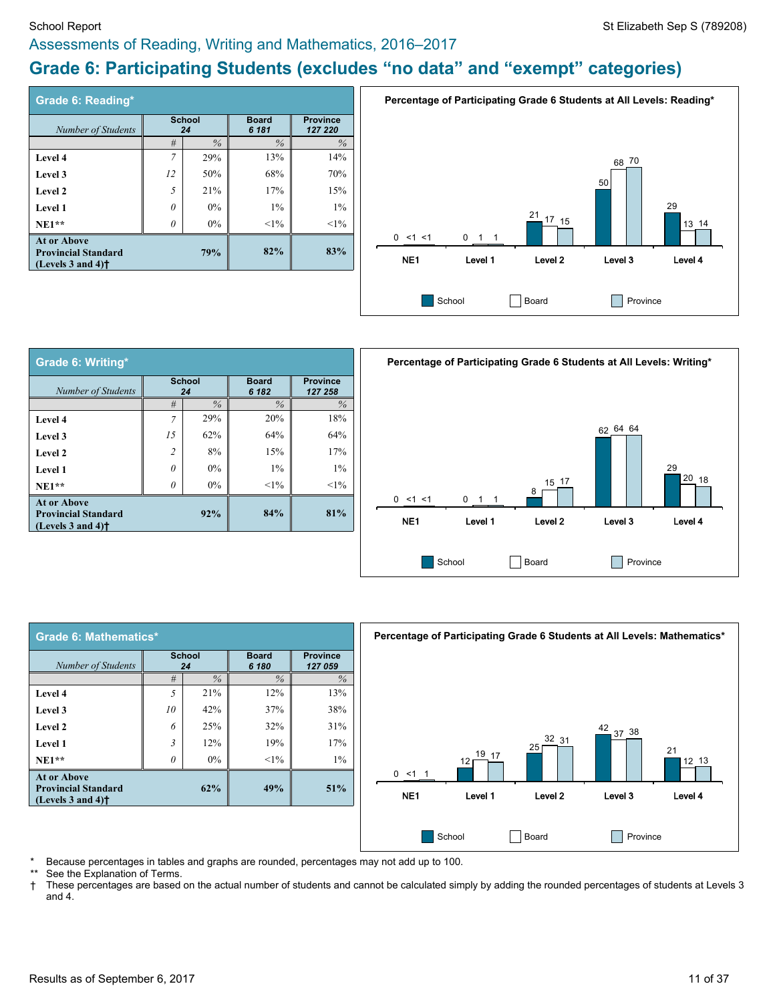#### School Report St Elizabeth Sep S (789208) Assessments of Reading, Writing and Mathematics, 2016–2017

# **Grade 6: Participating Students (excludes "no data" and "exempt" categories)**

| Grade 6: Reading*                                                                                         |                     |     |                       |                            |
|-----------------------------------------------------------------------------------------------------------|---------------------|-----|-----------------------|----------------------------|
| Number of Students                                                                                        | <b>School</b><br>24 |     | <b>Board</b><br>6 181 | <b>Province</b><br>127 220 |
|                                                                                                           | $\%$<br>#           |     | $\%$                  | $\%$                       |
| Level 4                                                                                                   | $\overline{7}$      | 29% | 13%                   | 14%                        |
| Level 3                                                                                                   | 12                  | 50% | 68%                   | 70%                        |
| Level 2                                                                                                   | 5                   | 21% | 17%                   | 15%                        |
| Level 1                                                                                                   | 0                   | 0%  | $1\%$                 | $1\%$                      |
| $NE1**$                                                                                                   | 0                   | 0%  | $<1\%$                | $<1\%$                     |
| <b>At or Above</b><br><b>Provincial Standard</b><br>(Levels $3$ and $4$ ) <sup><math>\dagger</math></sup> |                     | 79% | 82%                   | 83%                        |



| Grade 6: Writing*                                                                                         |                |                     |                       |                            |  |  |  |  |
|-----------------------------------------------------------------------------------------------------------|----------------|---------------------|-----------------------|----------------------------|--|--|--|--|
| Number of Students                                                                                        |                | <b>School</b><br>24 | <b>Board</b><br>6 182 | <b>Province</b><br>127 258 |  |  |  |  |
|                                                                                                           | #              | $\%$                | $\%$                  | $\%$                       |  |  |  |  |
| Level 4                                                                                                   | $\overline{7}$ | 29%                 | 20%                   | 18%                        |  |  |  |  |
| Level 3                                                                                                   | 1.5            | 62%                 | 64%                   | 64%                        |  |  |  |  |
| Level 2                                                                                                   | $\overline{c}$ | 8%                  | 15%                   | 17%                        |  |  |  |  |
| Level 1                                                                                                   | 0              | $0\%$               | $1\%$                 | $1\%$                      |  |  |  |  |
| $NE1**$                                                                                                   | $\theta$       | $0\%$               | $<1\%$                | $<1\%$                     |  |  |  |  |
| <b>At or Above</b><br><b>Provincial Standard</b><br>(Levels $3$ and $4$ ) <sup><math>\dagger</math></sup> |                | 92%                 | 84%                   | 81%                        |  |  |  |  |



| Grade 6: Mathematics*                                                             |                |                     |                       |                            |  |  |  |
|-----------------------------------------------------------------------------------|----------------|---------------------|-----------------------|----------------------------|--|--|--|
| Number of Students                                                                |                | <b>School</b><br>24 | <b>Board</b><br>6 180 | <b>Province</b><br>127 059 |  |  |  |
|                                                                                   | #              | $\%$                | $\%$                  | $\%$                       |  |  |  |
| Level 4                                                                           | $\overline{5}$ | 21%                 | 12%                   | 13%                        |  |  |  |
| Level 3                                                                           | 10             | 42%                 | 37%                   | 38%                        |  |  |  |
| Level 2                                                                           | 6              | 25%                 | 32%                   | 31%                        |  |  |  |
| <b>Level 1</b>                                                                    | $\mathfrak{Z}$ | 12%                 | 19%                   | 17%                        |  |  |  |
| $NE1**$                                                                           | 0              | $0\%$               | $<1\%$                | $1\%$                      |  |  |  |
| <b>At or Above</b><br><b>Provincial Standard</b><br>(Levels 3 and 4) <sup>†</sup> |                | 62%                 | 49%                   | 51%                        |  |  |  |



Because percentages in tables and graphs are rounded, percentages may not add up to 100.

See the Explanation of Terms.

† These percentages are based on the actual number of students and cannot be calculated simply by adding the rounded percentages of students at Levels 3 and 4.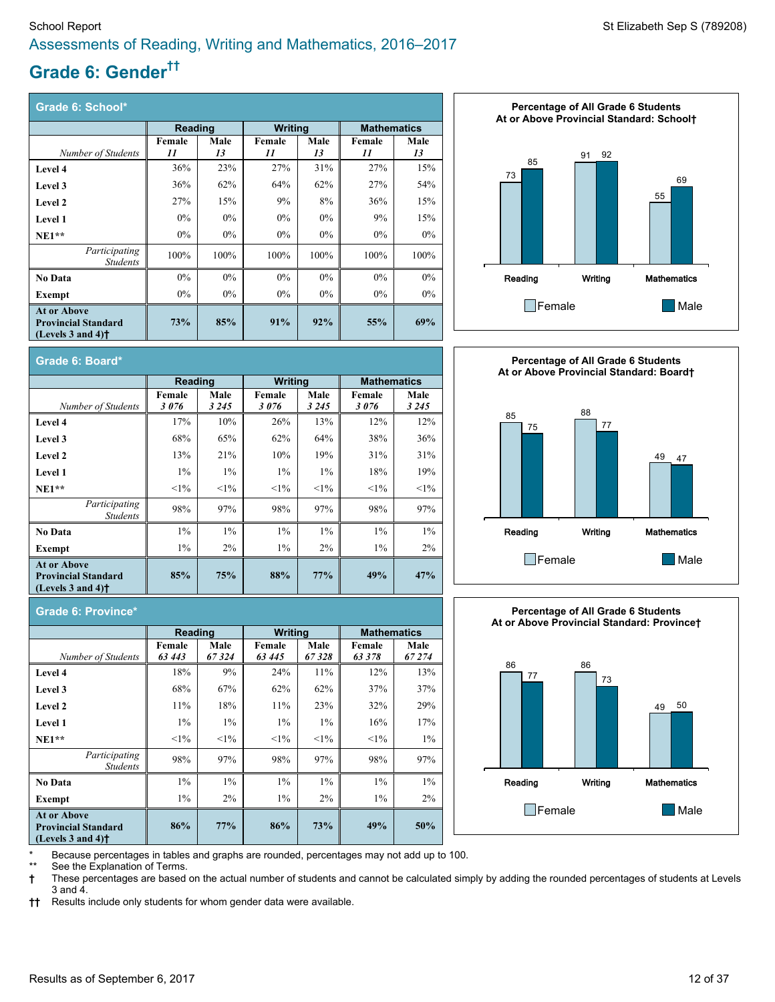# **Grade 6: Gender ††**

| Grade 6: School*                                                                                          |         |       |                |       |                    |       |
|-----------------------------------------------------------------------------------------------------------|---------|-------|----------------|-------|--------------------|-------|
|                                                                                                           | Reading |       | <b>Writing</b> |       | <b>Mathematics</b> |       |
|                                                                                                           | Female  | Male  | Female         | Male  | Female             | Male  |
| Number of Students                                                                                        | 11      | 13    | 11             | 13    | 11                 | 13    |
| <b>Level 4</b>                                                                                            | 36%     | 23%   | 27%            | 31%   | 27%                | 15%   |
| Level 3                                                                                                   | 36%     | 62%   | 64%            | 62%   | 27%                | 54%   |
| Level 2                                                                                                   | 27%     | 15%   | 9%             | 8%    | 36%                | 15%   |
| Level 1                                                                                                   | $0\%$   | $0\%$ | $0\%$          | $0\%$ | 9%                 | 15%   |
| $NE1**$                                                                                                   | $0\%$   | $0\%$ | $0\%$          | $0\%$ | $0\%$              | $0\%$ |
| Participating<br><b>Students</b>                                                                          | 100%    | 100%  | 100%           | 100%  | 100%               | 100%  |
| <b>No Data</b>                                                                                            | $0\%$   | $0\%$ | $0\%$          | $0\%$ | $0\%$              | $0\%$ |
| Exempt                                                                                                    | $0\%$   | $0\%$ | $0\%$          | $0\%$ | $0\%$              | $0\%$ |
| <b>At or Above</b><br><b>Provincial Standard</b><br>(Levels $3$ and $4$ ) <sup><math>\dagger</math></sup> | 73%     | 85%   | 91%            | 92%   | 55%                | 69%   |



| Grade 6: Board*                                                                                           |                |                 |                |                 |                    |                 |
|-----------------------------------------------------------------------------------------------------------|----------------|-----------------|----------------|-----------------|--------------------|-----------------|
|                                                                                                           | Reading        |                 | Writing        |                 | <b>Mathematics</b> |                 |
| Number of Students                                                                                        | Female<br>3076 | Male<br>3 2 4 5 | Female<br>3076 | Male<br>3 2 4 5 | Female<br>3076     | Male<br>3 2 4 5 |
| <b>Level 4</b>                                                                                            | 17%            | 10%             | 26%            | 13%             | 12%                | 12%             |
| Level 3                                                                                                   | 68%            | 65%             | 62%            | 64%             | 38%                | 36%             |
| Level 2                                                                                                   | 13%            | 21%             | 10%            | 19%             | 31%                | 31%             |
| Level 1                                                                                                   | $1\%$          | $1\%$           | $1\%$          | $1\%$           | 18%                | 19%             |
| $NE1**$                                                                                                   | $<1\%$         | $1\%$           | $1\%$          | $1\%$           | $<1\%$             | $1\%$           |
| Participating<br><b>Students</b>                                                                          | 98%            | 97%             | 98%            | 97%             | 98%                | 97%             |
| No Data                                                                                                   | $1\%$          | $1\%$           | $1\%$          | $1\%$           | $1\%$              | $1\%$           |
| Exempt                                                                                                    | $1\%$          | 2%              | $1\%$          | 2%              | $1\%$              | 2%              |
| <b>At or Above</b><br><b>Provincial Standard</b><br>(Levels $3$ and $4$ ) <sup><math>\dagger</math></sup> | 85%            | 75%             | 88%            | 77%             | 49%                | 47%             |



#### **Grade 6: Province\***

|                                                                                     | Reading          |               | Writing          |               | <b>Mathematics</b> |                |
|-------------------------------------------------------------------------------------|------------------|---------------|------------------|---------------|--------------------|----------------|
| Number of Students                                                                  | Female<br>63 443 | Male<br>67324 | Female<br>63 445 | Male<br>67328 | Female<br>63 378   | Male<br>67 274 |
| Level 4                                                                             | 18%              | 9%            | 24%              | 11%           | 12%                | 13%            |
| Level 3                                                                             | 68%              | 67%           | 62%              | 62%           | 37%                | 37%            |
| Level 2                                                                             | 11%              | 18%           | 11%              | 23%           | 32%                | 29%            |
| <b>Level 1</b>                                                                      | $1\%$            | $1\%$         | $1\%$            | $1\%$         | 16%                | 17%            |
| $NE1**$                                                                             | $1\%$            | $<1\%$        | $1\%$            | $1\%$         | $<1\%$             | $1\%$          |
| Participating<br><b>Students</b>                                                    | 98%              | 97%           | 98%              | 97%           | 98%                | 97%            |
| <b>No Data</b>                                                                      | $1\%$            | $1\%$         | $1\%$            | $1\%$         | $1\%$              | $1\%$          |
| Exempt                                                                              | $1\%$            | $2\%$         | $1\%$            | $2\%$         | $1\%$              | $2\%$          |
| <b>At or Above</b><br><b>Provincial Standard</b><br>(Levels $3$ and $4$ ) $\dagger$ | 86%              | 77%           | 86%              | 73%           | 49%                | 50%            |

**Percentage of All Grade 6 Students At or Above Provincial Standard: Province†**



Because percentages in tables and graphs are rounded, percentages may not add up to 100.

See the Explanation of Terms.

**†** These percentages are based on the actual number of students and cannot be calculated simply by adding the rounded percentages of students at Levels 3 and 4.

**††** Results include only students for whom gender data were available.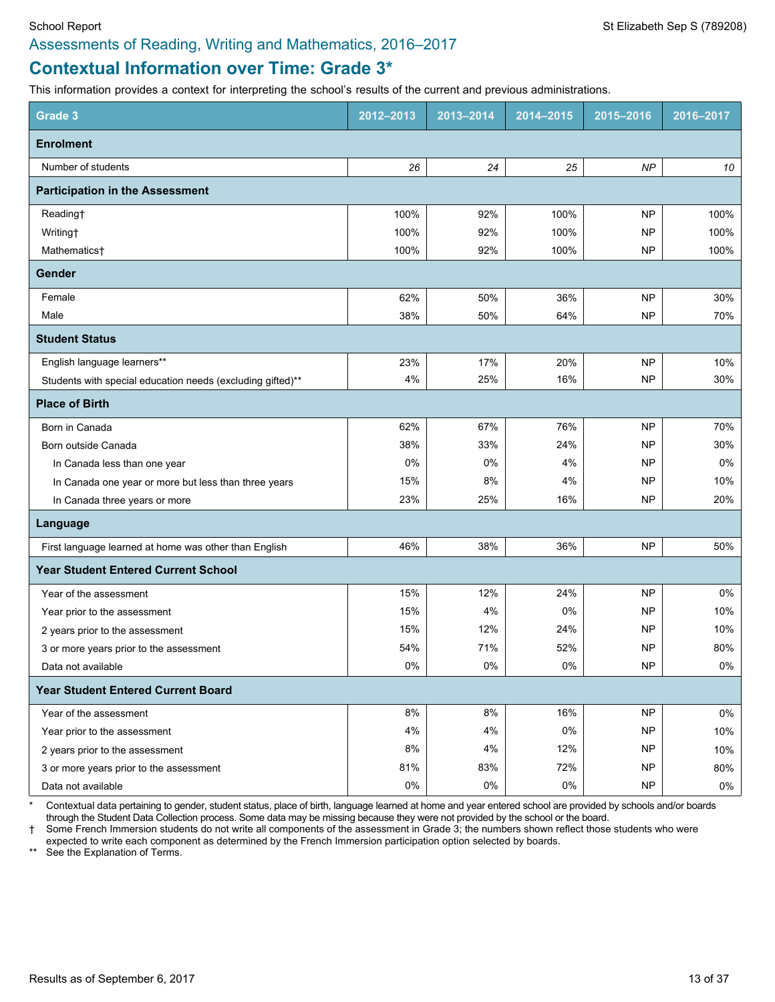# **Contextual Information over Time: Grade 3\***

This information provides a context for interpreting the school's results of the current and previous administrations.

| <b>Grade 3</b>                                             | 2012-2013 | 2013-2014 | 2014-2015 | 2015-2016 | 2016-2017 |
|------------------------------------------------------------|-----------|-----------|-----------|-----------|-----------|
| <b>Enrolment</b>                                           |           |           |           |           |           |
| Number of students                                         | 26        | 24        | 25        | NP        | 10        |
| <b>Participation in the Assessment</b>                     |           |           |           |           |           |
| Reading†                                                   | 100%      | 92%       | 100%      | <b>NP</b> | 100%      |
| Writing <sup>+</sup>                                       | 100%      | 92%       | 100%      | NP        | 100%      |
| Mathematics <sup>+</sup>                                   | 100%      | 92%       | 100%      | <b>NP</b> | 100%      |
| <b>Gender</b>                                              |           |           |           |           |           |
| Female                                                     | 62%       | 50%       | 36%       | <b>NP</b> | 30%       |
| Male                                                       | 38%       | 50%       | 64%       | <b>NP</b> | 70%       |
| <b>Student Status</b>                                      |           |           |           |           |           |
| English language learners**                                | 23%       | 17%       | 20%       | <b>NP</b> | 10%       |
| Students with special education needs (excluding gifted)** | 4%        | 25%       | 16%       | <b>NP</b> | 30%       |
| <b>Place of Birth</b>                                      |           |           |           |           |           |
| Born in Canada                                             | 62%       | 67%       | 76%       | <b>NP</b> | 70%       |
| Born outside Canada                                        | 38%       | 33%       | 24%       | NP        | 30%       |
| In Canada less than one year                               | 0%        | 0%        | 4%        | <b>NP</b> | 0%        |
| In Canada one year or more but less than three years       | 15%       | 8%        | 4%        | NP        | 10%       |
| In Canada three years or more                              | 23%       | 25%       | 16%       | <b>NP</b> | 20%       |
| Language                                                   |           |           |           |           |           |
| First language learned at home was other than English      | 46%       | 38%       | 36%       | <b>NP</b> | 50%       |
| <b>Year Student Entered Current School</b>                 |           |           |           |           |           |
| Year of the assessment                                     | 15%       | 12%       | 24%       | <b>NP</b> | 0%        |
| Year prior to the assessment                               | 15%       | 4%        | 0%        | NP        | 10%       |
| 2 years prior to the assessment                            | 15%       | 12%       | 24%       | NP        | 10%       |
| 3 or more years prior to the assessment                    | 54%       | 71%       | 52%       | <b>NP</b> | 80%       |
| Data not available                                         | $0\%$     | 0%        | 0%        | NP        | $0\%$     |
| <b>Year Student Entered Current Board</b>                  |           |           |           |           |           |
| Year of the assessment                                     | 8%        | 8%        | 16%       | <b>NP</b> | $0\%$     |
| Year prior to the assessment                               | 4%        | 4%        | $0\%$     | <b>NP</b> | 10%       |
| 2 years prior to the assessment                            | 8%        | 4%        | 12%       | <b>NP</b> | 10%       |
| 3 or more years prior to the assessment                    | 81%       | 83%       | 72%       | <b>NP</b> | 80%       |
| Data not available                                         | $0\%$     | 0%        | $0\%$     | NP        | 0%        |

\* Contextual data pertaining to gender, student status, place of birth, language learned at home and year entered school are provided by schools and/or boards through the Student Data Collection process. Some data may be missing because they were not provided by the school or the board.

† Some French Immersion students do not write all components of the assessment in Grade 3; the numbers shown reflect those students who were expected to write each component as determined by the French Immersion participation option selected by boards.

\*\* See the Explanation of Terms.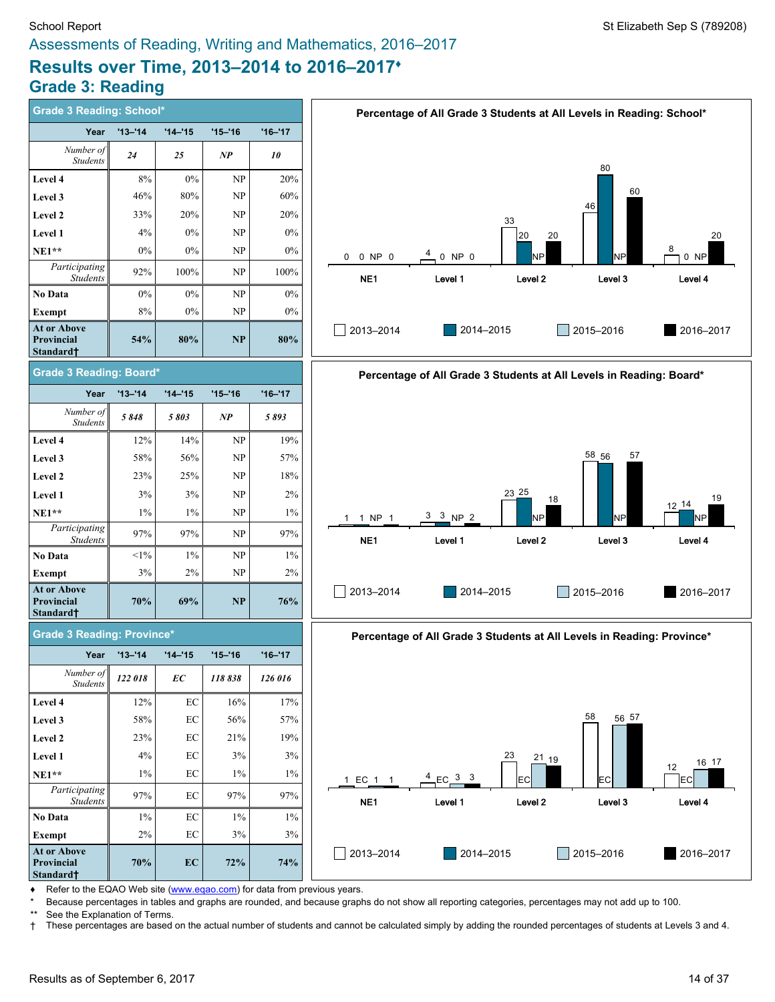# **Grade 3: Reading**

| <b>Grade 3 Reading: School*</b>                                  |             |            |                                 |             | Percentage of All Grade 3 Students at All Levels in Reading: School*   |
|------------------------------------------------------------------|-------------|------------|---------------------------------|-------------|------------------------------------------------------------------------|
| Year                                                             | $'13 - 14$  | $'14 - 15$ | $'15 - '16$                     | $'16 - '17$ |                                                                        |
| Number of<br><b>Students</b>                                     | 24          | 25         | NP                              | 10          | 80                                                                     |
| Level 4                                                          | 8%          | $0\%$      | NP                              | 20%         |                                                                        |
| Level 3                                                          | 46%         | 80%        | NP                              | 60%         | 60                                                                     |
| Level 2                                                          | 33%         | 20%        | NP                              | 20%         | 46<br>33                                                               |
| Level 1                                                          | 4%          | 0%         | NP                              | 0%          | 20<br>20<br>20                                                         |
| $NE1**$                                                          | 0%          | 0%         | NP                              | 0%          | 8<br>4<br>NP<br>0 NP 0<br>0 NP 0<br>NΡ<br>0<br>0 NP                    |
| Participating<br><b>Students</b>                                 | 92%         | 100%       | NP                              | 100%        | NE1<br>Level <sub>2</sub><br>Level 3<br>Level 1<br>Level 4             |
| <b>No Data</b>                                                   | $0\%$       | $0\%$      | $\ensuremath{\text{NP}}\xspace$ | 0%          |                                                                        |
| Exempt                                                           | 8%          | 0%         | NP                              | $0\%$       |                                                                        |
| <b>At or Above</b><br><b>Provincial</b><br>Standard <sup>†</sup> | 54%         | 80%        | NP                              | 80%         | 2013-2014<br>2014-2015<br>2015-2016<br>2016-2017                       |
| <b>Grade 3 Reading: Board*</b>                                   |             |            |                                 |             | Percentage of All Grade 3 Students at All Levels in Reading: Board*    |
| Year                                                             | $'13 - '14$ | $'14 - 15$ | $'15 - '16$                     | $'16 - '17$ |                                                                        |
| Number of<br><b>Students</b>                                     | 5848        | 5803       | $\bf NP$                        | 5893        |                                                                        |
| Level 4                                                          | 12%         | 14%        | NP                              | 19%         |                                                                        |
| Level 3                                                          | 58%         | 56%        | NP                              | 57%         | 58 56<br>57                                                            |
| Level 2                                                          | 23%         | 25%        | NP                              | 18%         |                                                                        |
| Level 1                                                          | 3%          | 3%         | NP                              | 2%          | $23 \, 25$<br>19<br>18<br>$12-14$                                      |
| $NE1**$                                                          | 1%          | $1\%$      | NP                              | $1\%$       | $3 \t3 NP \t2$<br>NP<br>1 NP 1<br>NΡ<br>NΡ                             |
| Participating<br><b>Students</b>                                 | 97%         | 97%        | NP                              | 97%         | NE <sub>1</sub><br>Level <sub>2</sub><br>Level 3<br>Level 1<br>Level 4 |
| No Data                                                          | $<1\%$      | $1\%$      | NP                              | $1\%$       |                                                                        |
| Exempt                                                           | 3%          | 2%         | NP                              | 2%          |                                                                        |
| <b>At or Above</b><br><b>Provincial</b><br>Standard <sup>+</sup> | 70%         | 69%        | <b>NP</b>                       | 76%         | 2013-2014<br>2014-2015<br>2015-2016<br>2016-2017                       |
| <b>Grade 3 Reading: Province*</b>                                |             |            |                                 |             | Percentage of All Grade 3 Students at All Levels in Reading: Province* |
| Year                                                             | $'13 - 14$  | $'14 - 15$ | $'15 - '16$                     | $'16 - '17$ |                                                                        |
| Number of<br><b>Students</b>                                     | 122 018     | EC         | 118838                          | 126 016     |                                                                        |
| Level 4                                                          | 12%         | $\rm EC$   | 16%                             | 17%         |                                                                        |
| Level 3                                                          | 58%         | EC         | 56%                             | 57%         | 58<br>56 57                                                            |
| Level 2                                                          | 23%         | EC         | 21%                             | 19%         |                                                                        |
| Level 1                                                          | 4%          | EC         | 3%                              | 3%          | 23<br>$^{21}_{-19}$<br>16 17                                           |
| $NE1**$                                                          | $1\%$       | EC         | $1\%$                           | 1%          | 12<br>4<br>$EC$ $3$ $3$<br>1 EC 1 1<br>EC<br>EC<br>IЕC                 |
| Participating<br>Students                                        | 97%         | EC         | 97%                             | 97%         | NE1<br>Level 2<br>Level 1<br>Level 3<br>Level 4                        |
| <b>No Data</b>                                                   | $1\%$       | $\rm EC$   | $1\%$                           | 1%          |                                                                        |
| <b>Exempt</b>                                                    | $2\%$       | $\rm EC$   | $3\%$                           | 3%          |                                                                        |

◆ Refer to the EQAO Web site [\(www.eqao.com](http://www.eqao.com/)) for data from previous years.

**70% EC 72% 74%**

\* Because percentages in tables and graphs are rounded, and because graphs do not show all reporting categories, percentages may not add up to 100.

 $\Box$  2013-2014

**At or Above Provincial Standard†**

\*\* See the Explanation of Terms.<br>† These percentages are based † These percentages are based on the actual number of students and cannot be calculated simply by adding the rounded percentages of students at Levels 3 and 4.

2013–2014 2014–2015 2015–2016 2016–2017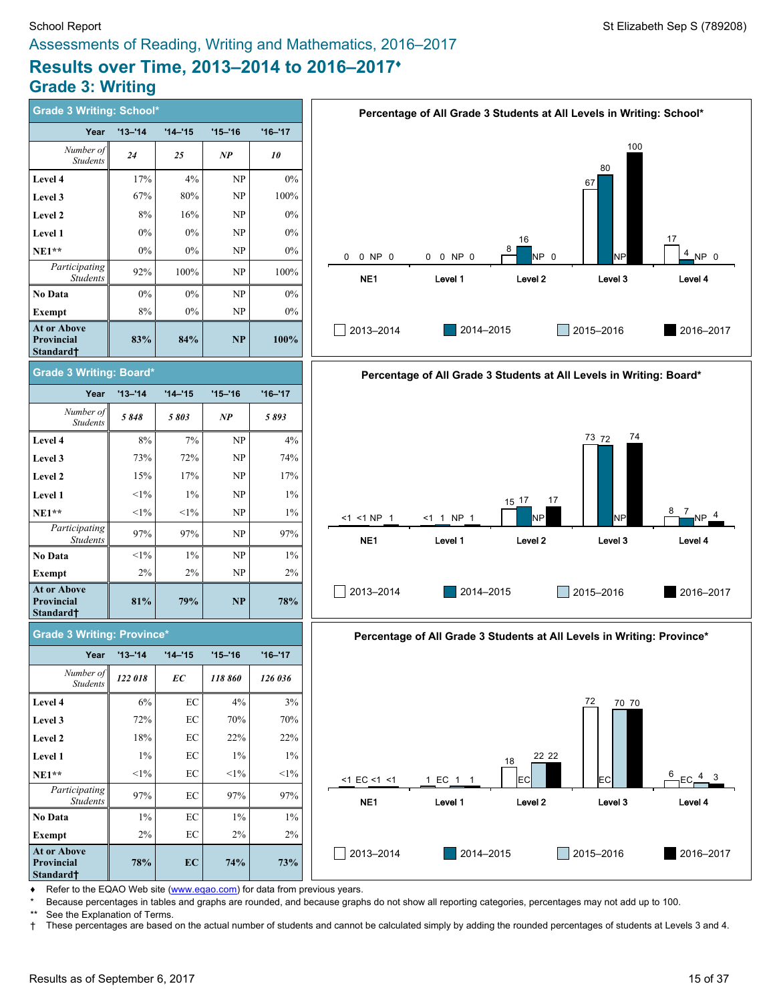# **Results over Time, 2013–2014 to 2016–2017♦ Grade 3: Writing**

| <b>Grade 3 Writing: School*</b>                    |             |            |             |             |                        | Percentage of All Grade 3 Students at All Levels in Writing: School*   |                    |             |                 |
|----------------------------------------------------|-------------|------------|-------------|-------------|------------------------|------------------------------------------------------------------------|--------------------|-------------|-----------------|
| Year                                               | $'13 - '14$ | $'14 - 15$ | $'15 - 16$  | $'16 - '17$ |                        |                                                                        |                    |             |                 |
| Number of<br>Students                              | 24          | 25         | NP          | 10          |                        |                                                                        |                    | 100<br>80   |                 |
| Level 4                                            | 17%         | 4%         | NP          | $0\%$       |                        |                                                                        |                    | 67          |                 |
| Level 3                                            | 67%         | $80\%$     | NP          | 100%        |                        |                                                                        |                    |             |                 |
| Level 2                                            | 8%          | 16%        | NP          | $0\%$       |                        |                                                                        |                    |             |                 |
| Level 1                                            | 0%          | $0\%$      | NP          | $0\%$       |                        |                                                                        | 16                 |             | 17              |
| $NE1**$                                            | 0%          | $0\%$      | NP          | 0%          | 0 NP 0<br>$\mathbf{0}$ | 0 0 NP 0                                                               | 8<br>NP 0          | NP          | 4 NP 0          |
| Participating<br>Students                          | 92%         | $100\%$    | NP          | 100%        | NE1                    | Level 1                                                                | Level <sub>2</sub> | Level 3     | Level 4         |
| No Data                                            | $0\%$       | $0\%$      | NP          | $0\%$       |                        |                                                                        |                    |             |                 |
| <b>Exempt</b>                                      | 8%          | 0%         | NP          | 0%          |                        |                                                                        |                    |             |                 |
| At or Above<br>Provincial<br>Standard <sup>+</sup> | 83%         | 84%        | <b>NP</b>   | 100%        | $ $ 2013-2014          | 2014-2015                                                              |                    | 2015-2016   | 2016-2017       |
| <b>Grade 3 Writing: Board*</b>                     |             |            |             |             |                        | Percentage of All Grade 3 Students at All Levels in Writing: Board*    |                    |             |                 |
| Year                                               | $'13 - '14$ | $'14 - 15$ | $'15 - '16$ | $'16 - '17$ |                        |                                                                        |                    |             |                 |
| Number of<br><b>Students</b>                       | 5848        | 5803       | NP          | 5893        |                        |                                                                        |                    |             |                 |
| Level 4                                            | 8%          | 7%         | NP          | 4%          |                        |                                                                        |                    | 74<br>73 72 |                 |
| Level 3                                            | 73%         | 72%        | NP          | 74%         |                        |                                                                        |                    |             |                 |
| Level 2                                            | 15%         | 17%        | NP          | 17%         |                        |                                                                        |                    |             |                 |
| Level 1                                            | $<$ 1%      | $1\%$      | NP          | $1\%$       |                        |                                                                        | 17<br>$15 - 17$    |             |                 |
| $NE1**$                                            | $<$ 1%      | $<1\%$     | NP          | $1\%$       | $<$ 1 $<$ 1 NP 1       | <1 1 NP 1                                                              | <b>NP</b>          | NP          | $\frac{8}{1}$ T |
| Participating<br>Students                          | 97%         | 97%        | NP          | 97%         | NE <sub>1</sub>        | Level 1                                                                | Level <sub>2</sub> | Level 3     | Level 4         |
| No Data                                            | $<$ 1%      | $1\%$      | NP          | $1\%$       |                        |                                                                        |                    |             |                 |
| <b>Exempt</b>                                      | 2%          | 2%         | NP          | 2%          |                        |                                                                        |                    |             |                 |
| At or Above<br>Provincial<br>Standard <sup>†</sup> | 81%         | 79%        | <b>NP</b>   | 78%         | 2013-2014              | 2014-2015                                                              |                    | 2015-2016   | 2016-2017       |
| <b>Grade 3 Writing: Province*</b>                  |             |            |             |             |                        | Percentage of All Grade 3 Students at All Levels in Writing: Province* |                    |             |                 |
| Year                                               | $'13 - '14$ | $'14 - 15$ | $'15 - 16$  | $'16 - '17$ |                        |                                                                        |                    |             |                 |
| Number of<br><b>Students</b>                       | 122 018     | EC         | 118 860     | 126 036     |                        |                                                                        |                    |             |                 |
| Level 4                                            | 6%          | EC         | 4%          | 3%          |                        |                                                                        |                    | 72<br>70 70 |                 |
| Level 3                                            | 72%         | EC         | 70%         | 70%         |                        |                                                                        |                    |             |                 |
| Level 2                                            | 18%         | $\rm EC$   | 22%         | 22%         |                        |                                                                        |                    |             |                 |
| Level 1                                            | $1\%$       | $\rm EC$   | 1%          | $1\%$       |                        |                                                                        | 22 22<br>18        |             |                 |
| $NE1**$                                            | $<1\%$      | $\rm EC$   | $1\%$       | $<1\%$      | $<$ 1 EC $<$ 1 $<$ 1   | 1 EC 1 1                                                               | EC                 | <b>EC</b>   | 6<br>$EC_4^4$ 3 |
| Participating<br><b>Students</b>                   | 97%         | EC         | 97%         | 97%         | NE <sub>1</sub>        | Level 1                                                                | Level <sub>2</sub> | Level 3     | Level 4         |
| <b>No Data</b>                                     | $1\%$       | $\rm EC$   | 1%          | $1\%$       |                        |                                                                        |                    |             |                 |
| <b>Exempt</b>                                      | 2%          | $\rm EC$   | 2%          | $2\%$       |                        |                                                                        |                    |             |                 |
| At or Above<br>Provincial<br>Standard†             | 78%         | EC         | 74%         | 73%         | 2013-2014              | 2014-2015                                                              |                    | 2015-2016   | 2016-2017       |

Refer to the EQAO Web site [\(www.eqao.com](http://www.eqao.com/)) for data from previous years.

Because percentages in tables and graphs are rounded, and because graphs do not show all reporting categories, percentages may not add up to 100.

\*\* See the Explanation of Terms.

† These percentages are based on the actual number of students and cannot be calculated simply by adding the rounded percentages of students at Levels 3 and 4.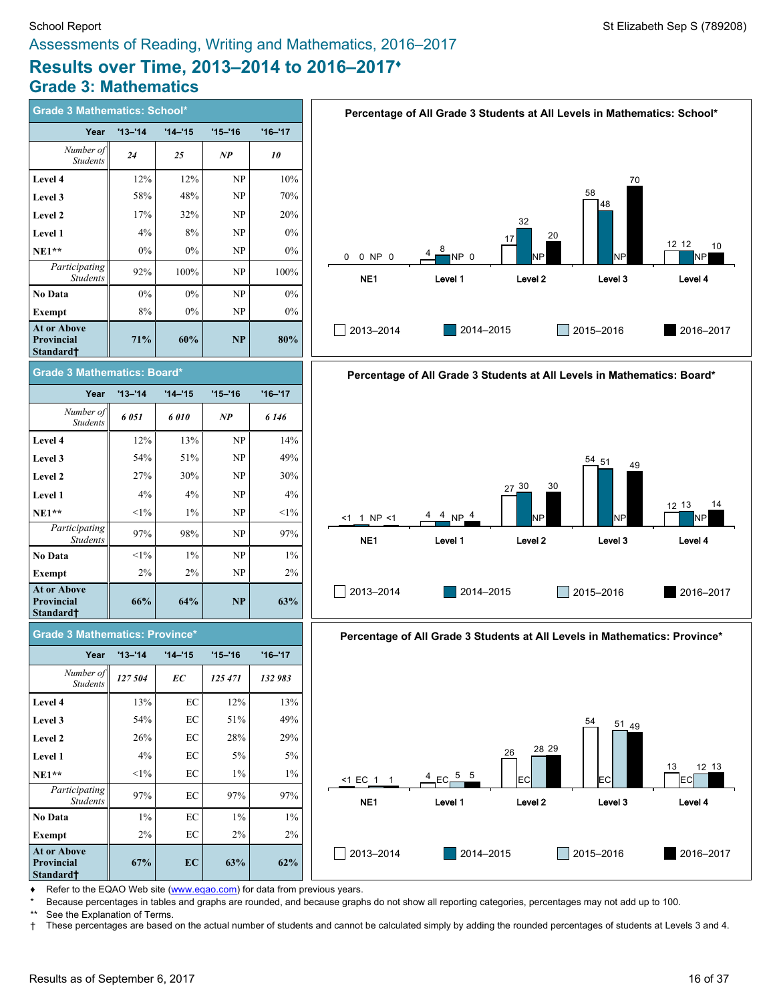# **Results over Time, 2013–2014 to 2016–2017♦ Grade 3: Mathematics**

| <b>Grade 3 Mathematics: School*</b>                       |             |            |            |             |  |  |  |  |
|-----------------------------------------------------------|-------------|------------|------------|-------------|--|--|--|--|
| Year                                                      | $'13 - '14$ | $'14 - 15$ | $'15 - 16$ | $'16 - '17$ |  |  |  |  |
| Number of<br><b>Students</b>                              | 24          | 25         | NP         | 10          |  |  |  |  |
| Level 4                                                   | 12%         | 12%        | NP         | 10%         |  |  |  |  |
| Level 3                                                   | 58%         | 48%        | NP         | 70%         |  |  |  |  |
| Level 2                                                   | 17%         | 32%        | NP         | 20%         |  |  |  |  |
| Level 1                                                   | 4%          | 8%         | NP         | $0\%$       |  |  |  |  |
| $NE1**$                                                   | $0\%$       | $0\%$      | NP         | $0\%$       |  |  |  |  |
| Participating<br><b>Students</b>                          | 92%         | 100%       | NP         | 100%        |  |  |  |  |
| <b>No Data</b>                                            | $0\%$       | $0\%$      | NP         | $0\%$       |  |  |  |  |
| <b>Exempt</b>                                             | 8%          | $0\%$      | NP         | $0\%$       |  |  |  |  |
| <b>At or Above</b><br><b>Provincial</b><br>Standard†      | 71%         | 60%        | NP         | 80%         |  |  |  |  |
| Grade 3 Mathematics: Board*                               |             |            |            |             |  |  |  |  |
| Year                                                      | $'13 - '14$ | $'14 - 15$ | $'15 - 16$ | $'16 - '17$ |  |  |  |  |
| Number of<br><b>Students</b>                              | 6 051       | 6010       | NP         | 6 1 4 6     |  |  |  |  |
| Level 4                                                   | 12%         | 13%        | NP         | 14%         |  |  |  |  |
| Level 3                                                   | 54%         | 51%        | NP         | 49%         |  |  |  |  |
| <b>Level 2</b>                                            | 27%         | 30%        | NP         | 30%         |  |  |  |  |
| Level 1                                                   | 4%          | 4%         | NP         | 4%          |  |  |  |  |
| <b>NE1**</b>                                              | $<1\%$      | $1\%$      | NP         | $<1\%$      |  |  |  |  |
| Participating<br><b>Students</b>                          | 97%         | 98%        | NP         | 97%         |  |  |  |  |
| No Data                                                   | $<1\%$      | $1\%$      | NP         | $1\%$       |  |  |  |  |
| Exempt                                                    | 2%          | 2%         | NP         | 2%          |  |  |  |  |
| <b>At or Above</b><br><b>Provincial</b><br>Standard†      | 66%         | 64%        | NP         | 63%         |  |  |  |  |
| <b>Grade 3 Mathematics: Province*</b>                     |             |            |            |             |  |  |  |  |
| Year                                                      | $'13 - 14$  | '14–'15    | $'15 - 16$ | $'16 - '17$ |  |  |  |  |
| Number of<br><b>Students</b>                              | 127 504     | ЕC         | 125 471    | 132 983     |  |  |  |  |
| Level 4                                                   | 13%         | EC         | 12%        | 13%         |  |  |  |  |
| Level 3                                                   | 54%         | EС         | 51%        | 49%         |  |  |  |  |
| Level 2                                                   | 26%         | EC         | 28%        | 29%         |  |  |  |  |
| Level 1                                                   | 4%          | EC         | 5%         | 5%          |  |  |  |  |
| <b>NE1**</b>                                              | $<1\%$      | EC         | $1\%$      | $1\%$       |  |  |  |  |
| Participating<br><b>Students</b>                          | 97%         | EС         | 97%        | 97%         |  |  |  |  |
| No Data                                                   | $1\%$       | EС         | $1\%$      | $1\%$       |  |  |  |  |
| <b>Exempt</b>                                             | 2%          | EC         | 2%         | 2%          |  |  |  |  |
| <b>At or Above</b><br>Provincial<br>Standard <sup>+</sup> | 67%         | EC         | 63%        | 62%         |  |  |  |  |





**Percentage of All Grade 3 Students at All Levels in Mathematics: Province\***



Refer to the EQAO Web site [\(www.eqao.com](http://www.eqao.com/)) for data from previous years.

\* Because percentages in tables and graphs are rounded, and because graphs do not show all reporting categories, percentages may not add up to 100.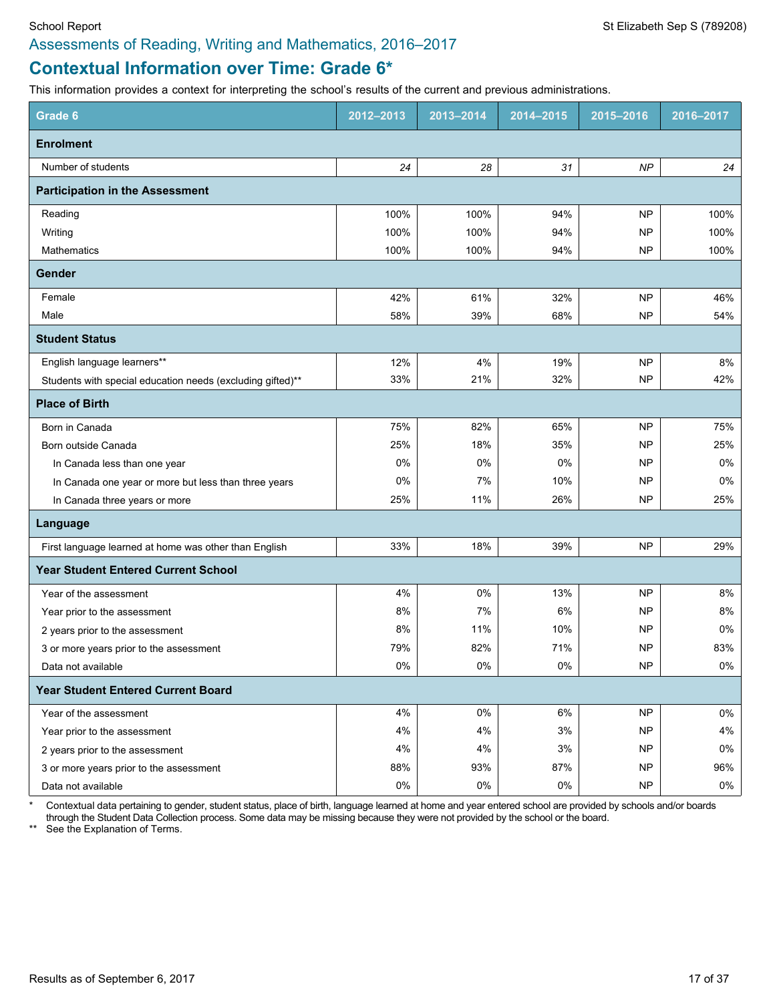# **Contextual Information over Time: Grade 6\***

This information provides a context for interpreting the school's results of the current and previous administrations.

| Grade 6                                                    | 2012-2013 | 2013-2014 | 2014-2015 | 2015-2016 | 2016-2017 |
|------------------------------------------------------------|-----------|-----------|-----------|-----------|-----------|
| <b>Enrolment</b>                                           |           |           |           |           |           |
| Number of students                                         | 24        | 28        | 31        | NP        | 24        |
| <b>Participation in the Assessment</b>                     |           |           |           |           |           |
| Reading                                                    | 100%      | 100%      | 94%       | <b>NP</b> | 100%      |
| Writing                                                    | 100%      | 100%      | 94%       | <b>NP</b> | 100%      |
| <b>Mathematics</b>                                         | 100%      | 100%      | 94%       | <b>NP</b> | 100%      |
| Gender                                                     |           |           |           |           |           |
| Female                                                     | 42%       | 61%       | 32%       | <b>NP</b> | 46%       |
| Male                                                       | 58%       | 39%       | 68%       | <b>NP</b> | 54%       |
| <b>Student Status</b>                                      |           |           |           |           |           |
| English language learners**                                | 12%       | 4%        | 19%       | <b>NP</b> | 8%        |
| Students with special education needs (excluding gifted)** | 33%       | 21%       | 32%       | <b>NP</b> | 42%       |
| <b>Place of Birth</b>                                      |           |           |           |           |           |
| Born in Canada                                             | 75%       | 82%       | 65%       | <b>NP</b> | 75%       |
| Born outside Canada                                        | 25%       | 18%       | 35%       | <b>NP</b> | 25%       |
| In Canada less than one year                               | 0%        | 0%        | 0%        | NP        | 0%        |
| In Canada one year or more but less than three years       | 0%        | 7%        | 10%       | <b>NP</b> | $0\%$     |
| In Canada three years or more                              | 25%       | 11%       | 26%       | <b>NP</b> | 25%       |
| Language                                                   |           |           |           |           |           |
| First language learned at home was other than English      | 33%       | 18%       | 39%       | <b>NP</b> | 29%       |
| <b>Year Student Entered Current School</b>                 |           |           |           |           |           |
| Year of the assessment                                     | 4%        | 0%        | 13%       | <b>NP</b> | 8%        |
| Year prior to the assessment                               | 8%        | 7%        | 6%        | <b>NP</b> | 8%        |
| 2 years prior to the assessment                            | 8%        | 11%       | 10%       | NP        | 0%        |
| 3 or more years prior to the assessment                    | 79%       | 82%       | 71%       | <b>NP</b> | 83%       |
| Data not available                                         | 0%        | 0%        | 0%        | <b>NP</b> | 0%        |
| <b>Year Student Entered Current Board</b>                  |           |           |           |           |           |
| Year of the assessment                                     | 4%        | $0\%$     | 6%        | <b>NP</b> | 0%        |
| Year prior to the assessment                               | 4%        | 4%        | $3%$      | <b>NP</b> | 4%        |
| 2 years prior to the assessment                            | 4%        | 4%        | 3%        | NP        | 0%        |
| 3 or more years prior to the assessment                    | 88%       | 93%       | 87%       | <b>NP</b> | 96%       |
| Data not available                                         | 0%        | $0\%$     | $0\%$     | NP        | 0%        |

\* Contextual data pertaining to gender, student status, place of birth, language learned at home and year entered school are provided by schools and/or boards through the Student Data Collection process. Some data may be missing because they were not provided by the school or the board.

\*\* See the Explanation of Terms.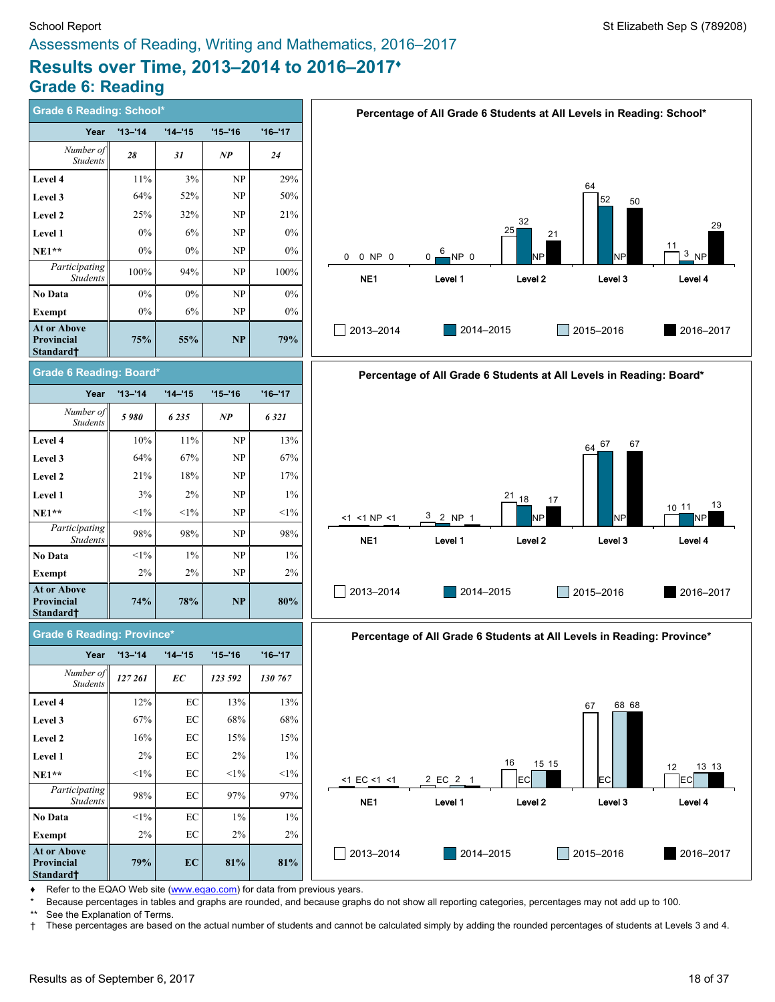# **Results over Time, 2013–2014 to 2016–2017♦ Grade 6: Reading**

| <b>Grade 6 Reading: School*</b>                    |             |             |             |             | Percentage of All Grade 6 Students at All Levels in Reading: School*           |
|----------------------------------------------------|-------------|-------------|-------------|-------------|--------------------------------------------------------------------------------|
| Year                                               | $'13 - '14$ | $'14 - '15$ | $'15 - '16$ | $'16 - '17$ |                                                                                |
| Number of<br><b>Students</b>                       | 28          | 31          | NP          | 24          |                                                                                |
| Level 4                                            | $11\%$      | $3\%$       | NP          | 29%         | 64                                                                             |
| Level 3                                            | 64%         | 52%         | NP          | 50%         | 52<br>50                                                                       |
| Level 2                                            | 25%         | 32%         | NP          | 21%         | 32                                                                             |
| Level 1                                            | 0%          | 6%          | NP          | 0%          | 29<br>25<br>21                                                                 |
| $NE1**$                                            | 0%          | $0\%$       | NP          | 0%          | 11<br>$3$ <sub>NP</sub><br>NP <sub>0</sub><br>NP<br>0 0 NP 0<br><b>NP</b><br>0 |
| Participating<br><b>Students</b>                   | 100%        | 94%         | NP          | 100%        | NE1<br>Level 1<br>Level <sub>2</sub><br>Level 3<br>Level 4                     |
| No Data                                            | $0\%$       | $0\%$       | NP          | $0\%$       |                                                                                |
| Exempt                                             | $0\%$       | 6%          | NP          | $0\%$       |                                                                                |
| At or Above<br>Provincial<br>Standard†             | 75%         | 55%         | NP          | 79%         | 2016-2017<br>2013-2014<br>2014-2015<br>  2015-2016                             |
| <b>Grade 6 Reading: Board*</b>                     |             |             |             |             | Percentage of All Grade 6 Students at All Levels in Reading: Board*            |
| Year                                               | $'13 - '14$ | $'14 - '15$ | $'15 - '16$ | $'16 - '17$ |                                                                                |
| Number of<br><b>Students</b>                       | 5980        | 6235        | NP          | 6321        |                                                                                |
| Level 4                                            | 10%         | 11%         | NP          | 13%         | 67<br>$64^{67}$                                                                |
| Level 3                                            | 64%         | 67%         | NP          | 67%         |                                                                                |
| Level 2                                            | 21%         | 18%         | NP          | 17%         |                                                                                |
| Level 1                                            | 3%          | 2%          | NP          | $1\%$       | $^{21}$ 18<br>17                                                               |
| $NE1**$                                            | $<1\%$      | $<1\%$      | <b>NP</b>   | $<1\%$      | 13<br>10 11<br>$3 - 2 NP 1$<br><b>NP</b><br><b>NP</b><br><1 <1 NP <1<br>NΡ     |
| Participating<br><b>Students</b>                   | 98%         | 98%         | NP          | 98%         | NE <sub>1</sub><br>Level <sub>2</sub><br>Level 1<br>Level 3<br>Level 4         |
| <b>No Data</b>                                     | $<1\%$      | $1\%$       | NP          | $1\%$       |                                                                                |
| Exempt                                             | 2%          | 2%          | <b>NP</b>   | 2%          |                                                                                |
| At or Above<br>Provincial<br>Standard†             | 74%         | 78%         | NP          | 80%         | 2013-2014<br>2014-2015<br>$2015 - 2016$<br>2016-2017                           |
| <b>Grade 6 Reading: Province*</b>                  |             |             |             |             | Percentage of All Grade 6 Students at All Levels in Reading: Province*         |
| Year                                               | $'13 - '14$ | $'14 - 15$  | $'15 - '16$ | $'16 - '17$ |                                                                                |
| Number of<br>Students                              | 127 261     | EС          | 123 592     | 130 767     |                                                                                |
| Level 4                                            | 12%         | EC          | 13%         | 13%         | 68 68<br>67                                                                    |
| Level 3                                            | 67%         | EC          | 68%         | 68%         |                                                                                |
| Level 2                                            | 16%         | EC          | 15%         | 15%         |                                                                                |
| Level 1                                            | 2%          | EC          | 2%          | $1\%$       | 16<br>15 15<br>13 13                                                           |
| <b>NE1**</b>                                       | $<1\%$      | EC          | $<\!\!1\%$  | $<1\%$      | 12<br>2 EC 2 1<br>EC<br>$<1$ EC $<1$ $<1$<br>EC<br>EC                          |
| $\overline{Participating}$<br>Students             | 98%         | EC          | 97%         | 97%         | Level 2<br>NE <sub>1</sub><br>Level 1<br>Level 3<br>Level 4                    |
| No Data                                            | $<1\%$      | EC          | $1\%$       | $1\%$       |                                                                                |
| Exempt                                             | 2%          | EC          | 2%          | 2%          |                                                                                |
| At or Above<br>Provincial<br>Standard <sup>†</sup> | 79%         | EC          | 81%         | 81%         | 2013-2014<br>2014-2015<br>2015-2016<br>2016-2017                               |

◆ Refer to the EQAO Web site [\(www.eqao.com](http://www.eqao.com/)) for data from previous years.

\* Because percentages in tables and graphs are rounded, and because graphs do not show all reporting categories, percentages may not add up to 100.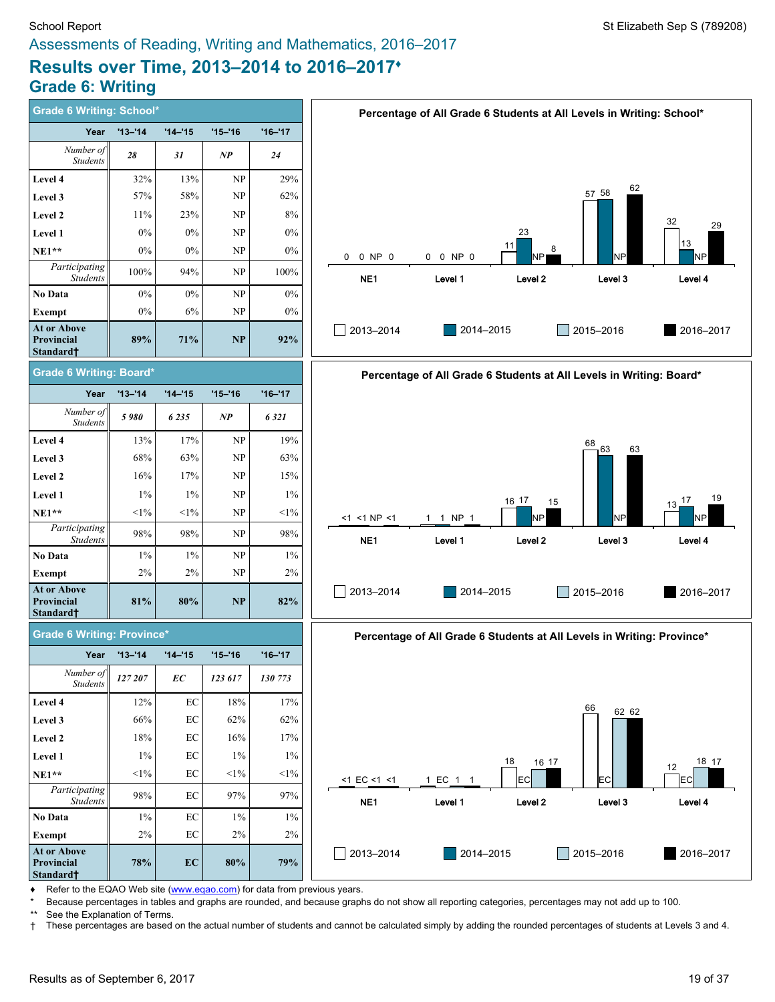# **Results over Time, 2013–2014 to 2016–2017♦ Grade 6: Writing**

| <b>Grade 6 Writing: School*</b>                    |                |             |                   |             | Percentage of All Grade 6 Students at All Levels in Writing: School*   |
|----------------------------------------------------|----------------|-------------|-------------------|-------------|------------------------------------------------------------------------|
| Year                                               | $'13 - 14$     | $'14 - '15$ | $'15 - '16$       | $'16 - '17$ |                                                                        |
| Number of<br><b>Students</b>                       | 28             | 31          | $\boldsymbol{NP}$ | 24          |                                                                        |
| <b>Level 4</b>                                     | 32%            | 13%         | NP                | 29%         |                                                                        |
| Level 3                                            | 57%            | 58%         | NP                | 62%         | 62<br>57 58                                                            |
| <b>Level 2</b>                                     | 11%            | 23%         | <b>NP</b>         | 8%          | 32                                                                     |
| <b>Level 1</b>                                     | $0\%$          | $0\%$       | NP                | $0\%$       | 29<br>23                                                               |
| <b>NE1**</b>                                       | 0%             | $0\%$       | NP                | $0\%$       | 13<br>11<br>8<br><b>NP</b><br>0 NP 0<br>0 0 NP 0<br>NP<br>0<br>NΡı     |
| Participating<br><b>Students</b>                   | 100%           | 94%         | NP                | 100%        | NE <sub>1</sub><br>Level 2<br>Level 3<br>Level 4<br>Level 1            |
| No Data                                            | $0\%$          | $0\%$       | <b>NP</b>         | 0%          |                                                                        |
| Exempt                                             | 0%             | 6%          | <b>NP</b>         | $0\%$       |                                                                        |
| At or Above<br>Provincial<br>Standard†             | 89%            | 71%         | <b>NP</b>         | 92%         | 2014-2015<br>2016-2017<br>2013-2014<br>$\Box$ 2015-2016                |
| <b>Grade 6 Writing: Board*</b>                     |                |             |                   |             | Percentage of All Grade 6 Students at All Levels in Writing: Board*    |
| Year                                               | $'13 - '14$    | $'14 - '15$ | $'15 - '16$       | $'16 - '17$ |                                                                        |
| Number of<br><b>Students</b>                       | 5980           | 6235        | $\boldsymbol{NP}$ | 6321        |                                                                        |
| <b>Level 4</b>                                     | 13%            | 17%         | NP                | 19%         | $\frac{68}{9}$ 63<br>63                                                |
| Level 3                                            | 68%            | 63%         | <b>NP</b>         | 63%         |                                                                        |
| <b>Level 2</b>                                     | 16%            | 17%         | NP                | 15%         |                                                                        |
| <b>Level 1</b>                                     | $1\%$          | $1\%$       | NP                | $1\%$       | 19<br>16 17<br>$13\frac{17}{6}$<br>15                                  |
| <b>NE1**</b>                                       | $<$ 1%         | $<1\%$      | NP                | $<1\%$      | <b>NP</b><br>1 1 NP 1<br>NΡ<br>NP<br><1 <1 NP <1                       |
| Participating<br><b>Students</b>                   | 98%            | 98%         | NP                | 98%         | NE1<br>Level 1<br>Level <sub>2</sub><br>Level 3<br>Level 4             |
| No Data                                            | 1%             | $1\%$       | NP                | $1\%$       |                                                                        |
| Exempt                                             | 2%             | 2%          | NP                | 2%          |                                                                        |
| At or Above<br>Provincial<br>Standard†             | 81%            | 80%         | <b>NP</b>         | 82%         | 2013-2014<br>2014-2015<br>$\Box$ 2015-2016<br>2016-2017                |
| <b>Grade 6 Writing: Province*</b>                  |                |             |                   |             | Percentage of All Grade 6 Students at All Levels in Writing: Province* |
| Year                                               | $'13 - '14$    | $'14 - '15$ | $'15 - '16$       | $'16 - '17$ |                                                                        |
| Number of<br>Students                              | $\it 127\,207$ | EC          | 123 617           | 130 773     |                                                                        |
| <b>Level 4</b>                                     | 12%            | $\rm EC$    | 18%               | 17%         | 66<br>62 62                                                            |
| Level 3                                            | 66%            | $\rm EC$    | 62%               | 62%         |                                                                        |
| <b>Level 2</b>                                     | 18%            | $\rm EC$    | 16%               | 17%         |                                                                        |
| Level 1                                            | $1\%$          | EC          | $1\%$             | $1\%$       | 18 17<br>18<br>16 17                                                   |
| <b>NE1**</b>                                       | $<$ 1%         | $\rm EC$    | $<$ 1%            | $<$ 1%      | 12<br>$<$ 1 EC $<$ 1 $<$ 1<br>1 EC 1 1<br><b>EC</b><br>EC<br><b>EC</b> |
| Participating<br><b>Students</b>                   | 98%            | $\rm EC$    | 97%               | 97%         | NE <sub>1</sub><br>Level 2<br>Level 3<br>Level 4<br>Level 1            |
| No Data                                            | $1\%$          | EC          | $1\%$             | $1\%$       |                                                                        |
| Exempt                                             | 2%             | $\rm EC$    | 2%                | 2%          |                                                                        |
| At or Above<br>Provincial<br>Standard <sup>+</sup> | 78%            | EC          | 80%               | 79%         | 2013-2014<br>2015-2016<br>2014-2015<br>2016-2017<br>l a                |

◆ Refer to the EQAO Web site [\(www.eqao.com](http://www.eqao.com/)) for data from previous years.

\* Because percentages in tables and graphs are rounded, and because graphs do not show all reporting categories, percentages may not add up to 100.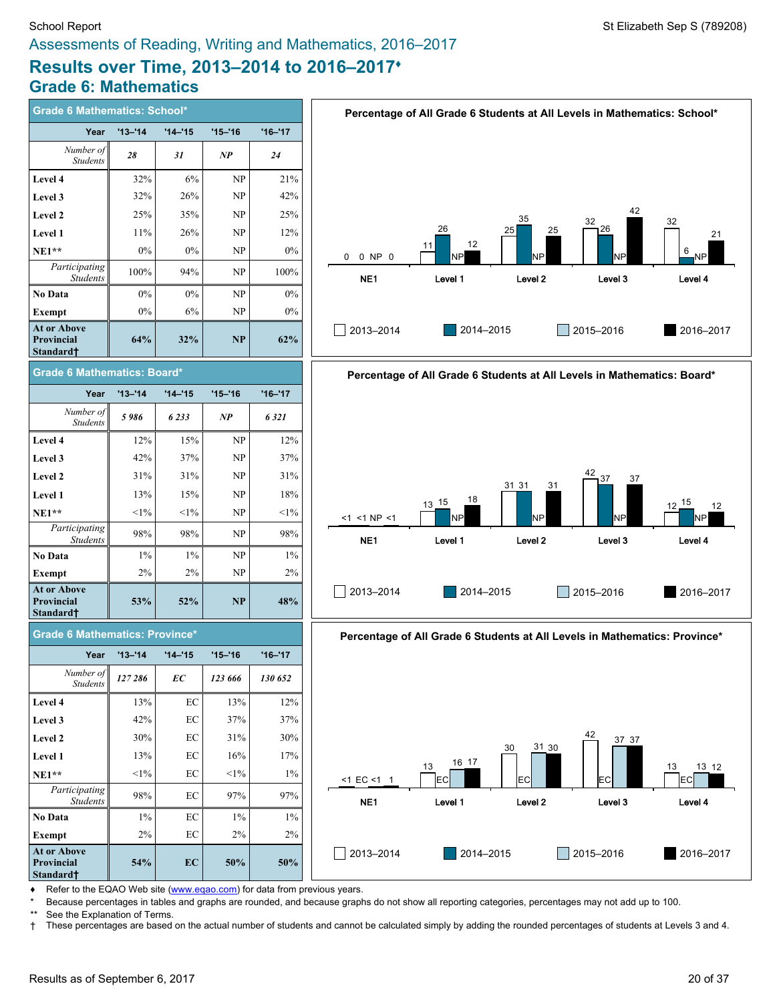# **Results over Time, 2013–2014 to 2016–2017♦ Grade 6: Mathematics**

| <b>Grade 6 Mathematics: School*</b>                              |             |            |             |             |  |  |  |  |
|------------------------------------------------------------------|-------------|------------|-------------|-------------|--|--|--|--|
| Year                                                             | $'13 - 14$  | $'14 - 15$ | $'15 - '16$ | $'16 - '17$ |  |  |  |  |
| Number of<br><b>Students</b>                                     | 28          | 31         | NP          | 24          |  |  |  |  |
| Level 4                                                          | 32%         | 6%         | NP          | 21%         |  |  |  |  |
| Level 3                                                          | 32%         | 26%        | NP          | 42%         |  |  |  |  |
| <b>Level 2</b>                                                   | 25%         | 35%        | NP          | 25%         |  |  |  |  |
| <b>Level 1</b>                                                   | 11%         | 26%        | NP          | 12%         |  |  |  |  |
| $NE1**$                                                          | $0\%$       | 0%         | NP          | $0\%$       |  |  |  |  |
| Participating<br><b>Students</b>                                 | 100%        | 94%        | NP          | 100%        |  |  |  |  |
| <b>No Data</b>                                                   | $0\%$       | $0\%$      | NP          | $0\%$       |  |  |  |  |
| <b>Exempt</b>                                                    | 0%          | 6%         | NP          | $0\%$       |  |  |  |  |
| <b>At or Above</b><br><b>Provincial</b><br>Standard <sup>+</sup> | 64%         | 32%        | <b>NP</b>   | 62%         |  |  |  |  |
| Grade 6 Mathematics: Board*                                      |             |            |             |             |  |  |  |  |
| Year                                                             | $'13 - '14$ | $'14 - 15$ | $'15 - '16$ | $'16 - '17$ |  |  |  |  |
| Number of<br><b>Students</b>                                     | 5986        | 6233       | NP          | 6321        |  |  |  |  |
| Level 4                                                          | 12%         | 15%        | NP          | 12%         |  |  |  |  |
| Level 3                                                          | 42%         | 37%        | NP          | 37%         |  |  |  |  |
| Level 2                                                          | 31%         | 31%        | NP          | 31%         |  |  |  |  |
| <b>Level 1</b>                                                   | 13%         | 15%        | NP          | 18%         |  |  |  |  |
| $NE1**$                                                          | $<1\%$      | $<1\%$     | NP          | $<1\%$      |  |  |  |  |
| Participating<br><b>Students</b>                                 | 98%         | 98%        | NP          | 98%         |  |  |  |  |
| No Data                                                          | $1\%$       | $1\%$      | NP          | $1\%$       |  |  |  |  |
| Exempt                                                           | 2%          | 2%         | NP          | 2%          |  |  |  |  |
| <b>At or Above</b><br><b>Provincial</b><br>Standard†             | 53%         | 52%        | <b>NP</b>   | 48%         |  |  |  |  |
| <b>Grade 6 Mathematics: Province*</b>                            |             |            |             |             |  |  |  |  |
| Year                                                             | $'13 - '14$ | $'14 - 15$ | $'15 - 16$  | $'16 - '17$ |  |  |  |  |
| Number of<br><b>Students</b>                                     | 127 286     | EC         | 123 666     | 130 652     |  |  |  |  |
| Level 4                                                          | 13%         | EС         | 13%         | 12%         |  |  |  |  |
| Level 3                                                          | 42%         | EC         | 37%         | 37%         |  |  |  |  |
| Level 2                                                          | 30%         | EC         | 31%         | 30%         |  |  |  |  |
| Level 1                                                          | 13%         | EС         | 16%         | 17%         |  |  |  |  |
| <b>NE1**</b>                                                     | $<$ 1%      | EC         | $<$ 1%      | $1\%$       |  |  |  |  |
| Participating<br><b>Students</b>                                 | 98%         | EC         | 97%         | 97%         |  |  |  |  |





**Percentage of All Grade 6 Students at All Levels in Mathematics: Province\***



Refer to the EQAO Web site [\(www.eqao.com](http://www.eqao.com/)) for data from previous years.

**54% EC 50% 50%**

**No Data** 1% EC 1% 1% **Exempt** 2% EC 2% 2%

\* Because percentages in tables and graphs are rounded, and because graphs do not show all reporting categories, percentages may not add up to 100.

**At or Above Provincial Standard†**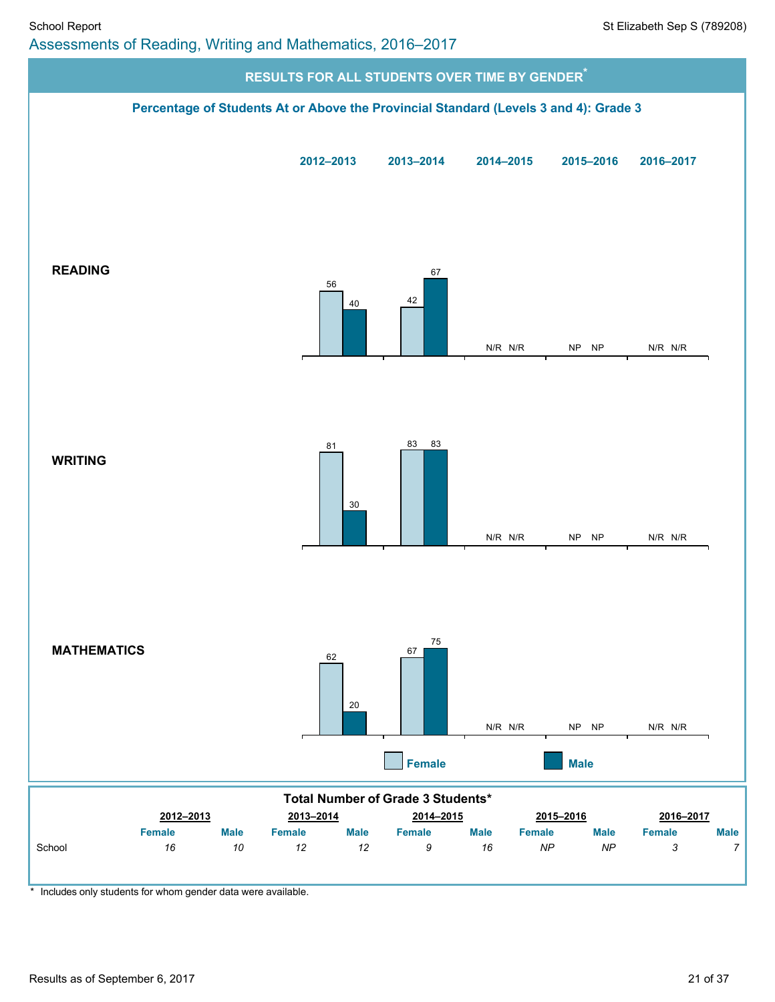

\* Includes only students for whom gender data were available.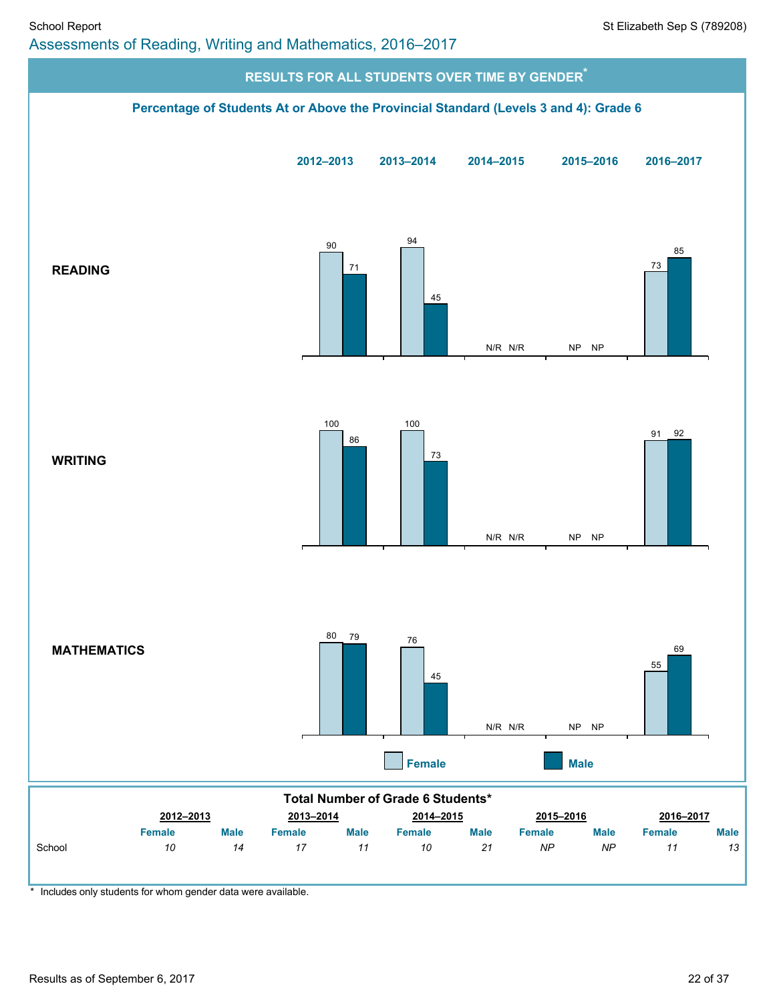

\* Includes only students for whom gender data were available.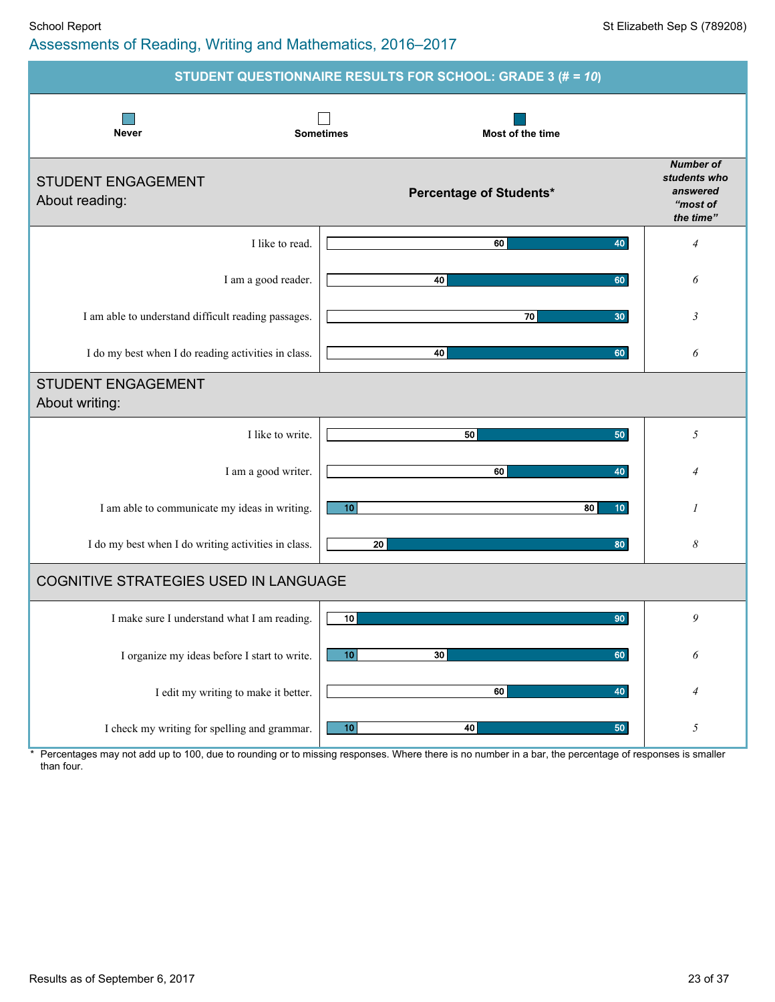### School Report School Report Superintendent Sep S (789208) Assessments of Reading, Writing and Mathematics, 2016–2017

|                                                     | STUDENT QUESTIONNAIRE RESULTS FOR SCHOOL: GRADE 3 (# = 10) |                                                                       |
|-----------------------------------------------------|------------------------------------------------------------|-----------------------------------------------------------------------|
| <b>Never</b>                                        | <b>Sometimes</b><br>Most of the time                       |                                                                       |
| <b>STUDENT ENGAGEMENT</b><br>About reading:         | Percentage of Students*                                    | <b>Number of</b><br>students who<br>answered<br>"most of<br>the time" |
| I like to read.                                     | 40<br>60                                                   | $\overline{4}$                                                        |
| I am a good reader.                                 | 40<br>60                                                   | 6                                                                     |
| I am able to understand difficult reading passages. | 70<br>30                                                   | 3                                                                     |
| I do my best when I do reading activities in class. | 40<br>60                                                   | 6                                                                     |
| <b>STUDENT ENGAGEMENT</b><br>About writing:         |                                                            |                                                                       |
| I like to write.                                    | 50<br>50                                                   | 5                                                                     |
| I am a good writer.                                 | 60<br>40                                                   | $\overline{4}$                                                        |
| I am able to communicate my ideas in writing.       | 10<br>80<br>10 <sup>°</sup>                                | 1                                                                     |
| I do my best when I do writing activities in class. | 20<br>80                                                   | 8                                                                     |
| COGNITIVE STRATEGIES USED IN LANGUAGE               |                                                            |                                                                       |
| I make sure I understand what I am reading.         | 10 <sup>1</sup><br>90                                      | 9                                                                     |
| I organize my ideas before I start to write.        | 10<br>30<br>60                                             | 6                                                                     |
| I edit my writing to make it better.                | 60<br>40                                                   | 4                                                                     |
| I check my writing for spelling and grammar.        | 10<br>40<br>50                                             | 5                                                                     |

\* Percentages may not add up to 100, due to rounding or to missing responses. Where there is no number in a bar, the percentage of responses is smaller than four.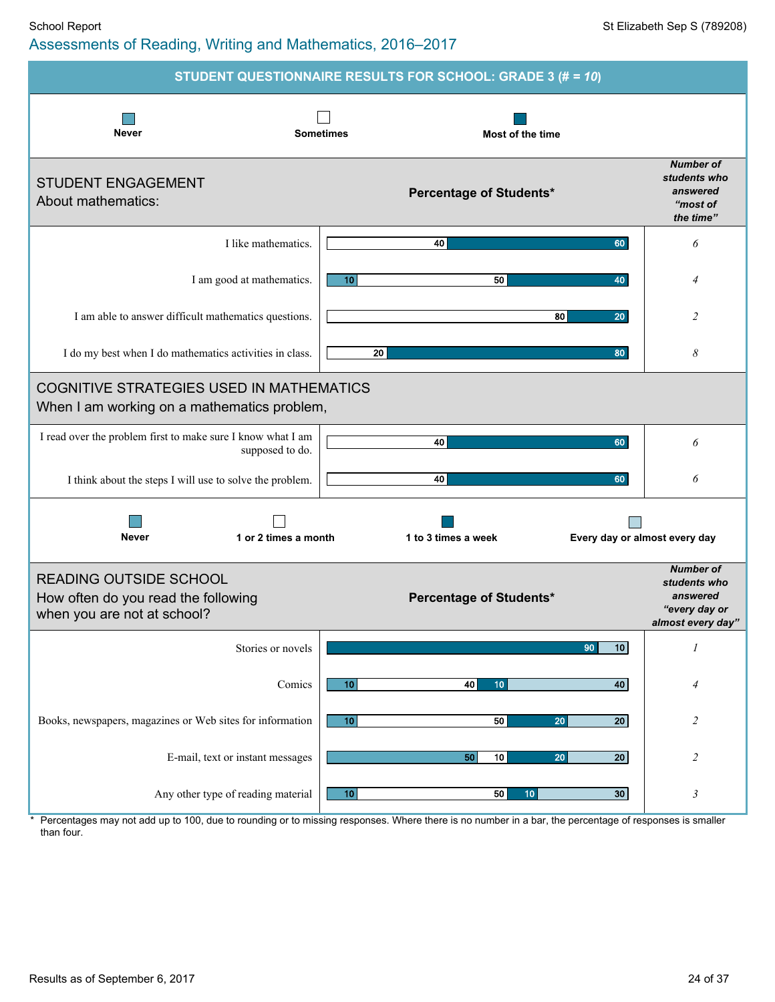### School Report School Report Superintendent Sep S (789208) Assessments of Reading, Writing and Mathematics, 2016–2017

|                                                                                                     | STUDENT QUESTIONNAIRE RESULTS FOR SCHOOL: GRADE 3 (# = 10)  |                                                                                    |
|-----------------------------------------------------------------------------------------------------|-------------------------------------------------------------|------------------------------------------------------------------------------------|
| <b>Never</b>                                                                                        | <b>Sometimes</b><br>Most of the time                        |                                                                                    |
| <b>STUDENT ENGAGEMENT</b><br>About mathematics:                                                     | Percentage of Students*                                     | <b>Number of</b><br>students who<br>answered<br>"most of<br>the time"              |
| I like mathematics.                                                                                 | 40<br>60                                                    | 6                                                                                  |
| I am good at mathematics.                                                                           | 50<br>10 <sup>1</sup><br>40                                 | $\overline{4}$                                                                     |
| I am able to answer difficult mathematics questions.                                                | 80<br>20                                                    | $\overline{c}$                                                                     |
| I do my best when I do mathematics activities in class.                                             | 20<br>80                                                    | 8                                                                                  |
| <b>COGNITIVE STRATEGIES USED IN MATHEMATICS</b><br>When I am working on a mathematics problem,      |                                                             |                                                                                    |
| I read over the problem first to make sure I know what I am<br>supposed to do.                      | 40<br>60                                                    | 6                                                                                  |
| I think about the steps I will use to solve the problem.                                            | 40<br>60                                                    | 6                                                                                  |
| <b>Never</b><br>1 or 2 times a month                                                                | 1 to 3 times a week<br>Every day or almost every day        |                                                                                    |
| <b>READING OUTSIDE SCHOOL</b><br>How often do you read the following<br>when you are not at school? | <b>Percentage of Students*</b>                              | <b>Number of</b><br>students who<br>answered<br>"every day or<br>almost every day" |
| Stories or novels                                                                                   | 90<br>10                                                    | $\mathcal I$                                                                       |
| Comics                                                                                              | 10<br>40<br>40<br>10                                        | 4                                                                                  |
| Books, newspapers, magazines or Web sites for information                                           | 10<br>50<br>20<br>$\overline{20}$                           | $\overline{c}$                                                                     |
| E-mail, text or instant messages                                                                    | 10<br>20 <sub>l</sub><br>50<br>20                           | $\overline{c}$                                                                     |
| Any other type of reading material                                                                  | 50<br>30 <sup>°</sup><br>10 <sub>1</sub><br>10 <sub>1</sub> | 3                                                                                  |

\* Percentages may not add up to 100, due to rounding or to missing responses. Where there is no number in a bar, the percentage of responses is smaller than four.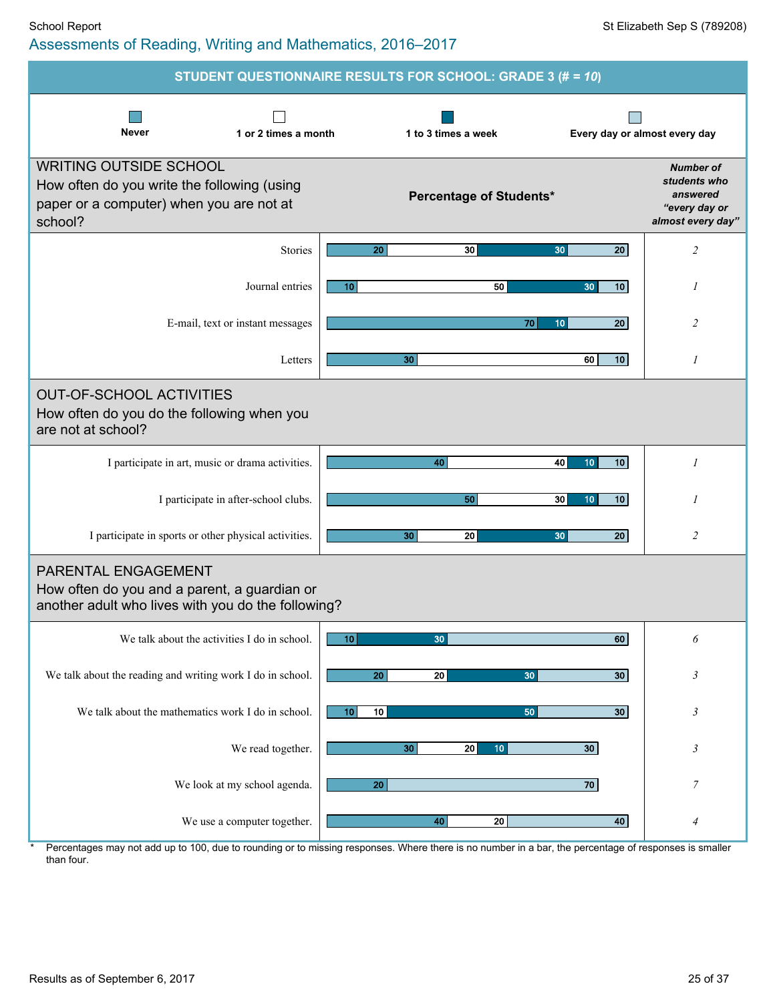|                                                                                                                                     | STUDENT QUESTIONNAIRE RESULTS FOR SCHOOL: GRADE 3 (# = 10) |                       |          |                                |                                    |    |                                                                                    |
|-------------------------------------------------------------------------------------------------------------------------------------|------------------------------------------------------------|-----------------------|----------|--------------------------------|------------------------------------|----|------------------------------------------------------------------------------------|
| <b>Never</b>                                                                                                                        | 1 or 2 times a month                                       | 1 to 3 times a week   |          |                                |                                    |    | Every day or almost every day                                                      |
| <b>WRITING OUTSIDE SCHOOL</b><br>How often do you write the following (using<br>paper or a computer) when you are not at<br>school? |                                                            |                       |          | <b>Percentage of Students*</b> |                                    |    | <b>Number of</b><br>students who<br>answered<br>"every day or<br>almost every day" |
|                                                                                                                                     | Stories                                                    | 20                    | 30       |                                | 30                                 | 20 | $\overline{c}$                                                                     |
|                                                                                                                                     | Journal entries                                            | 10 <sub>1</sub>       |          | 50                             | 30                                 | 10 | 1                                                                                  |
| E-mail, text or instant messages                                                                                                    |                                                            |                       |          | 70                             | 10                                 | 20 | 2                                                                                  |
|                                                                                                                                     | Letters                                                    |                       | 30       |                                | 60                                 | 10 | $\mathcal{I}$                                                                      |
| <b>OUT-OF-SCHOOL ACTIVITIES</b><br>How often do you do the following when you<br>are not at school?                                 |                                                            |                       |          |                                |                                    |    |                                                                                    |
| I participate in art, music or drama activities.                                                                                    |                                                            |                       | 40       |                                | 40<br>10 <sub>1</sub>              | 10 | 1                                                                                  |
| I participate in after-school clubs.                                                                                                |                                                            |                       | 50       |                                | 30 <sup>2</sup><br>10 <sup>°</sup> | 10 |                                                                                    |
| I participate in sports or other physical activities.                                                                               |                                                            |                       | 30<br>20 |                                | 30                                 | 20 | $\overline{c}$                                                                     |
| PARENTAL ENGAGEMENT<br>How often do you and a parent, a guardian or<br>another adult who lives with you do the following?           |                                                            |                       |          |                                |                                    |    |                                                                                    |
| We talk about the activities I do in school.                                                                                        |                                                            | 10                    | 30       |                                |                                    | 60 | 6                                                                                  |
| We talk about the reading and writing work I do in school.                                                                          |                                                            | 20                    | 20       | 30                             |                                    | 30 | $\mathfrak{Z}$                                                                     |
| We talk about the mathematics work I do in school.                                                                                  |                                                            | 10 <sup>1</sup><br>10 |          | 50                             |                                    | 30 | 3                                                                                  |
|                                                                                                                                     | We read together.                                          |                       | 30<br>20 | 10 <sub>1</sub>                | 30 <sub>2</sub>                    |    | 3                                                                                  |
|                                                                                                                                     | We look at my school agenda.                               | 20                    |          |                                | 70                                 |    | $\boldsymbol{7}$                                                                   |
|                                                                                                                                     | We use a computer together.                                |                       | 40       | 20                             |                                    | 40 | $\overline{4}$                                                                     |

Percentages may not add up to 100, due to rounding or to missing responses. Where there is no number in a bar, the percentage of responses is smaller than four.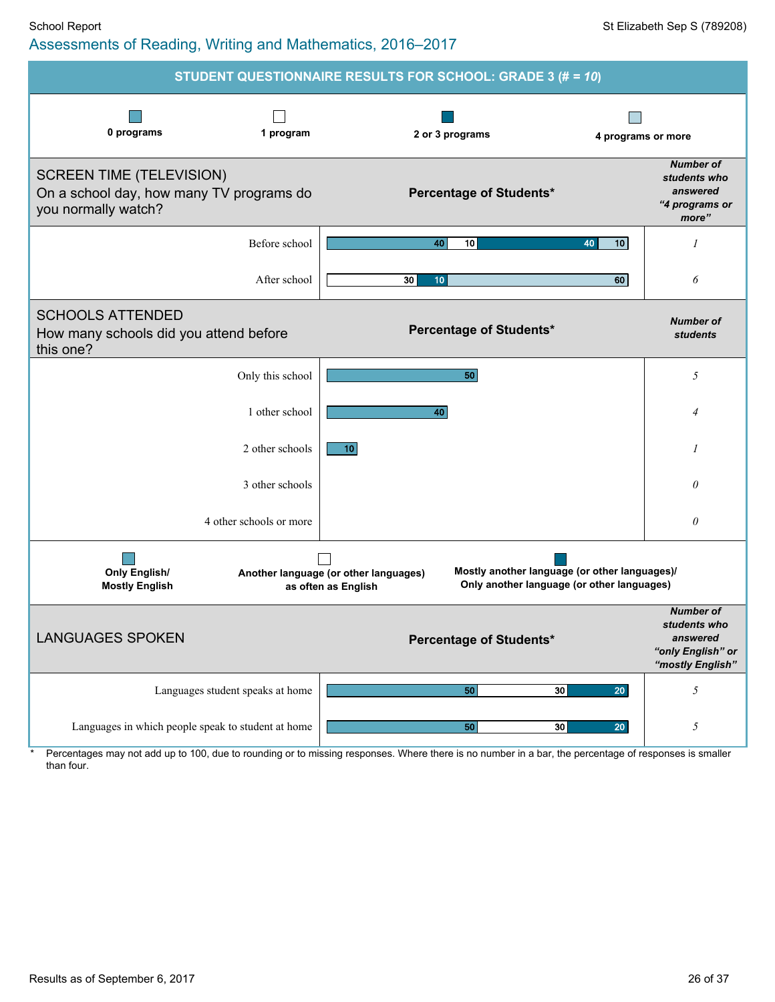| STUDENT QUESTIONNAIRE RESULTS FOR SCHOOL: GRADE 3 (# = 10)                                         |                                                                                                                                                             |                                                                                       |  |  |  |  |  |  |  |
|----------------------------------------------------------------------------------------------------|-------------------------------------------------------------------------------------------------------------------------------------------------------------|---------------------------------------------------------------------------------------|--|--|--|--|--|--|--|
| 0 programs<br>1 program                                                                            | 2 or 3 programs                                                                                                                                             | 4 programs or more                                                                    |  |  |  |  |  |  |  |
| <b>SCREEN TIME (TELEVISION)</b><br>On a school day, how many TV programs do<br>you normally watch? | Percentage of Students*                                                                                                                                     | <b>Number of</b><br>students who<br>answered<br>"4 programs or<br>more"               |  |  |  |  |  |  |  |
| Before school                                                                                      | 10 <sub>1</sub><br>10<br>40<br>40                                                                                                                           | 1                                                                                     |  |  |  |  |  |  |  |
| After school                                                                                       | 30<br>60<br>10                                                                                                                                              | 6                                                                                     |  |  |  |  |  |  |  |
| <b>SCHOOLS ATTENDED</b><br>How many schools did you attend before<br>this one?                     | Percentage of Students*                                                                                                                                     | <b>Number of</b><br><b>students</b>                                                   |  |  |  |  |  |  |  |
| Only this school                                                                                   | 50                                                                                                                                                          | 5                                                                                     |  |  |  |  |  |  |  |
| 1 other school                                                                                     | 40                                                                                                                                                          | 4                                                                                     |  |  |  |  |  |  |  |
| 2 other schools                                                                                    | 10                                                                                                                                                          | 1                                                                                     |  |  |  |  |  |  |  |
| 3 other schools                                                                                    |                                                                                                                                                             | $\theta$                                                                              |  |  |  |  |  |  |  |
| 4 other schools or more                                                                            |                                                                                                                                                             | $\theta$                                                                              |  |  |  |  |  |  |  |
| <b>Only English/</b><br><b>Mostly English</b>                                                      | Mostly another language (or other languages)/<br>Another language (or other languages)<br>Only another language (or other languages)<br>as often as English |                                                                                       |  |  |  |  |  |  |  |
| <b>LANGUAGES SPOKEN</b>                                                                            | <b>Percentage of Students*</b>                                                                                                                              | <b>Number of</b><br>students who<br>answered<br>"only English" or<br>"mostly English" |  |  |  |  |  |  |  |
| Languages student speaks at home                                                                   | 30<br>20<br>50                                                                                                                                              | $\sqrt{2}$                                                                            |  |  |  |  |  |  |  |
| Languages in which people speak to student at home                                                 | 50<br>30<br>20 <sub>2</sub>                                                                                                                                 | $\sqrt{2}$                                                                            |  |  |  |  |  |  |  |

\* Percentages may not add up to 100, due to rounding or to missing responses. Where there is no number in a bar, the percentage of responses is smaller than four.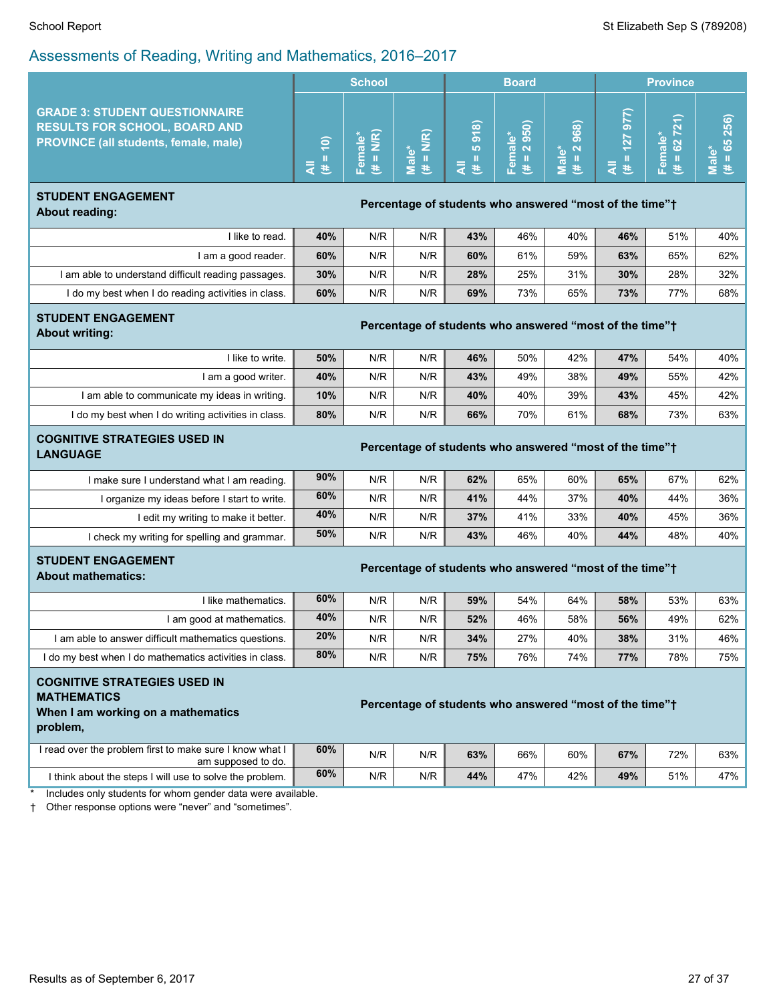|                                                                                                                                                                        |                                                         | <b>School</b>           |                       |                                                         | <b>Board</b>                  |                        |                      | <b>Province</b>            |                    |
|------------------------------------------------------------------------------------------------------------------------------------------------------------------------|---------------------------------------------------------|-------------------------|-----------------------|---------------------------------------------------------|-------------------------------|------------------------|----------------------|----------------------------|--------------------|
| <b>GRADE 3: STUDENT QUESTIONNAIRE</b><br><b>RESULTS FOR SCHOOL, BOARD AND</b><br>PROVINCE (all students, female, male)                                                 | $\overline{H} = 10$<br>₹                                | Female*<br>$(\# = N/R)$ | $(\# = N/R)$<br>Male* | 5918)<br>$\rm H$<br>₹<br>巷                              | 2 950)<br>Female*<br>ПI.<br>巷 | $(\# = 2968)$<br>Male* | $= 127977$<br>₹<br>巷 | $= 62 721$<br>Female*<br>巷 | $= 65256$<br>Male* |
| <b>STUDENT ENGAGEMENT</b><br><b>About reading:</b>                                                                                                                     | Percentage of students who answered "most of the time"+ |                         |                       |                                                         |                               |                        |                      |                            |                    |
| I like to read.                                                                                                                                                        | 40%                                                     | N/R                     | N/R                   | 43%                                                     | 46%                           | 40%                    | 46%                  | 51%                        | 40%                |
| I am a good reader.                                                                                                                                                    | 60%                                                     | N/R                     | N/R                   | 60%                                                     | 61%                           | 59%                    | 63%                  | 65%                        | 62%                |
| I am able to understand difficult reading passages.                                                                                                                    | 30%                                                     | N/R                     | N/R                   | 28%                                                     | 25%                           | 31%                    | 30%                  | 28%                        | 32%                |
| I do my best when I do reading activities in class.                                                                                                                    | 60%                                                     | N/R                     | N/R                   | 69%                                                     | 73%                           | 65%                    | 73%                  | 77%                        | 68%                |
| <b>STUDENT ENGAGEMENT</b><br><b>About writing:</b>                                                                                                                     | Percentage of students who answered "most of the time"+ |                         |                       |                                                         |                               |                        |                      |                            |                    |
| I like to write.                                                                                                                                                       | 50%                                                     | N/R                     | N/R                   | 46%                                                     | 50%                           | 42%                    | 47%                  | 54%                        | 40%                |
| I am a good writer.                                                                                                                                                    | 40%                                                     | N/R                     | N/R                   | 43%                                                     | 49%                           | 38%                    | 49%                  | 55%                        | 42%                |
| I am able to communicate my ideas in writing.                                                                                                                          | 10%                                                     | N/R                     | N/R                   | 40%                                                     | 40%                           | 39%                    | 43%                  | 45%                        | 42%                |
| I do my best when I do writing activities in class.                                                                                                                    | 80%                                                     | N/R                     | N/R                   | 66%                                                     | 70%                           | 61%                    | 68%                  | 73%                        | 63%                |
| <b>COGNITIVE STRATEGIES USED IN</b><br><b>LANGUAGE</b>                                                                                                                 | Percentage of students who answered "most of the time"+ |                         |                       |                                                         |                               |                        |                      |                            |                    |
| I make sure I understand what I am reading.                                                                                                                            | 90%                                                     | N/R                     | N/R                   | 62%                                                     | 65%                           | 60%                    | 65%                  | 67%                        | 62%                |
| I organize my ideas before I start to write.                                                                                                                           | 60%                                                     | N/R                     | N/R                   | 41%                                                     | 44%                           | 37%                    | 40%                  | 44%                        | 36%                |
| I edit my writing to make it better.                                                                                                                                   | 40%                                                     | N/R                     | N/R                   | 37%                                                     | 41%                           | 33%                    | 40%                  | 45%                        | 36%                |
| I check my writing for spelling and grammar.                                                                                                                           | 50%                                                     | N/R                     | N/R                   | 43%                                                     | 46%                           | 40%                    | 44%                  | 48%                        | 40%                |
| <b>STUDENT ENGAGEMENT</b><br><b>About mathematics:</b>                                                                                                                 |                                                         |                         |                       | Percentage of students who answered "most of the time"+ |                               |                        |                      |                            |                    |
| I like mathematics.                                                                                                                                                    | 60%                                                     | N/R                     | N/R                   | 59%                                                     | 54%                           | 64%                    | 58%                  | 53%                        | 63%                |
| I am good at mathematics.                                                                                                                                              | 40%                                                     | N/R                     | N/R                   | 52%                                                     | 46%                           | 58%                    | 56%                  | 49%                        | 62%                |
| I am able to answer difficult mathematics questions.                                                                                                                   | 20%                                                     | N/R                     | N/R                   | 34%                                                     | 27%                           | 40%                    | 38%                  | 31%                        | 46%                |
| I do my best when I do mathematics activities in class.                                                                                                                | 80%                                                     | N/R                     | N/R                   | 75%                                                     | 76%                           | 74%                    | 77%                  | 78%                        | 75%                |
| <b>COGNITIVE STRATEGIES USED IN</b><br><b>MATHEMATICS</b><br>Percentage of students who answered "most of the time"+<br>When I am working on a mathematics<br>problem, |                                                         |                         |                       |                                                         |                               |                        |                      |                            |                    |
| I read over the problem first to make sure I know what I<br>am supposed to do.                                                                                         | 60%                                                     | N/R                     | N/R                   | 63%                                                     | 66%                           | 60%                    | 67%                  | 72%                        | 63%                |
| I think about the steps I will use to solve the problem.                                                                                                               | 60%                                                     | N/R                     | N/R                   | 44%                                                     | 47%                           | 42%                    | 49%                  | 51%                        | 47%                |
| Includes only students for whom gender data were available.                                                                                                            |                                                         |                         |                       |                                                         |                               |                        |                      |                            |                    |

† Other response options were "never" and "sometimes".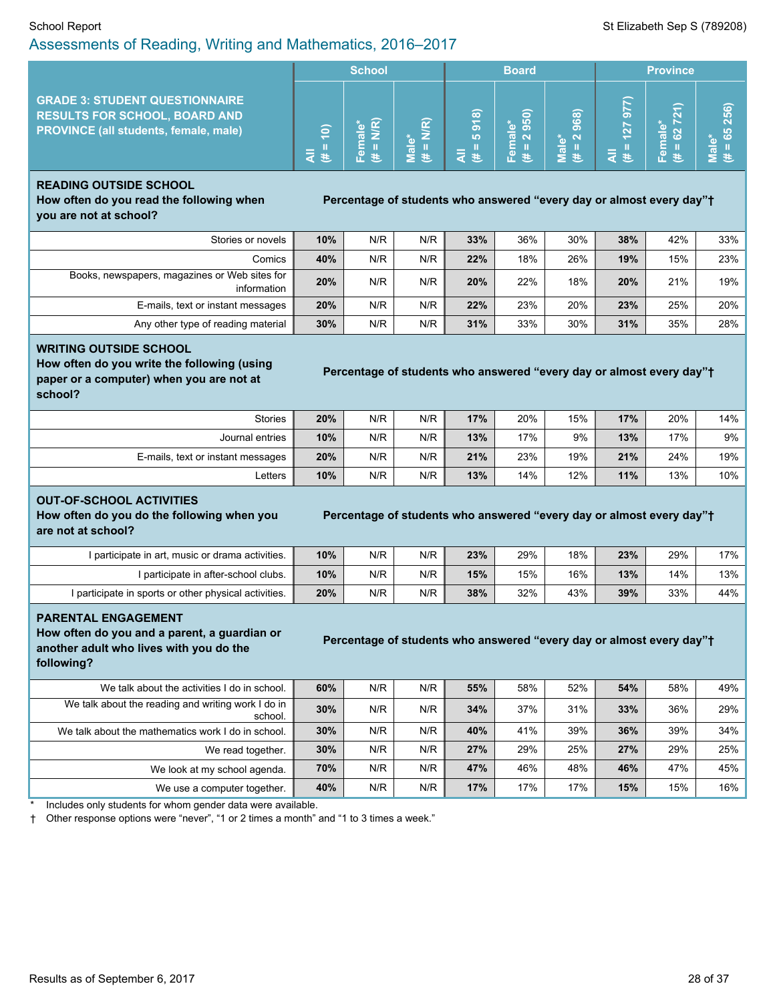#### School Report St Elizabeth Sep S (789208) Assessments of Reading, Writing and Mathematics, 2016–2017

|                                                                                                                               |                        | <b>School</b> |   | <b>Board</b>                                                      |                                                    |                                               | <b>Province</b> |                                     |                   |
|-------------------------------------------------------------------------------------------------------------------------------|------------------------|---------------|---|-------------------------------------------------------------------|----------------------------------------------------|-----------------------------------------------|-----------------|-------------------------------------|-------------------|
| <b>GRADE 3: STUDENT QUESTIONNAIRE</b><br><b>RESULTS FOR SCHOOL, BOARD AND</b><br><b>PROVINCE (all students, female, male)</b> | $\widetilde{e}$<br>द ≛ |               | ಹ | $\widehat{\infty}$<br>$\overline{\delta}$<br>LO <sup>1</sup><br>苤 | l a<br>10<br><b>d</b><br>െ<br>$\sigma$ $\sim$<br>Φ | ၜ<br>$\mathbf{c}$<br>െ<br>$\sim$<br>Ya N<br>Б | ō.<br>Ñ<br>⋿    | $\overline{\phantom{0}}$<br>w<br>a. | 256)<br><b>LC</b> |

#### **READING OUTSIDE SCHOOL How often do you read the following when you are not at school?**

**Percentage of students who answered "every day or almost every day"<sup>+</sup>** 

| Stories or novels                                            | 10% | N/R | N/R | 33% | 36% | 30% | 38% | 42% | 33% |
|--------------------------------------------------------------|-----|-----|-----|-----|-----|-----|-----|-----|-----|
| Comics                                                       | 40% | N/R | N/R | 22% | 18% | 26% | 19% | 15% | 23% |
| Books, newspapers, magazines or Web sites for<br>information | 20% | N/R | N/R | 20% | 22% | 18% | 20% | 21% | 19% |
| E-mails, text or instant messages                            | 20% | N/R | N/R | 22% | 23% | 20% | 23% | 25% | 20% |
| Any other type of reading material                           | 30% | N/R | N/R | 31% | 33% | 30% | 31% | 35% | 28% |

#### **WRITING OUTSIDE SCHOOL**

**How often do you write the following (using paper or a computer) when you are not at school?**

| Percentage of students who answered "every day or almost every day"† |  |
|----------------------------------------------------------------------|--|
|                                                                      |  |

| Stories                           | 20% | N/R | N/R | 17% | 20% | 15% | 17% | 20% | 14%    |
|-----------------------------------|-----|-----|-----|-----|-----|-----|-----|-----|--------|
| Journal entries                   | 10% | N/R | N/R | 13% | 17% | 9%  | 13% | 17% | $9\%$  |
| E-mails, text or instant messages | 20% | N/R | N/R | 21% | 23% | 19% | 21% | 24% | 19%    |
| ∟etters                           | 10% | N/R | N/R | 13% | 14% | 12% | 11% | 13% | $10\%$ |

#### **OUT-OF-SCHOOL ACTIVITIES**

**How often do you do the following when you are not at school?**

#### **Percentage of students who answered "every day or almost every day"<sup>+</sup>**

I participate in art, music or drama activities. **10%** N/R N/R **23%** 29% 29% 18% 23% 29% 17% I participate in after-school clubs. **10%** N/R N/R **15%** 15% 16% **13%** 14% 13% I participate in sports or other physical activities. **20%** N/R N/R 38% 32% 32% 43% 39% 33% 44%

#### **PARENTAL ENGAGEMENT**

**How often do you and a parent, a guardian or another adult who lives with you do the following?**

#### **Percentage of students who answered "every day or almost every day"<sup>+</sup>**

| We talk about the activities I do in school.                  | 60% | N/R | N/R | 55% | 58% | 52% | 54% | 58% | 49%    |
|---------------------------------------------------------------|-----|-----|-----|-----|-----|-----|-----|-----|--------|
| We talk about the reading and writing work I do in<br>school. | 30% | N/R | N/R | 34% | 37% | 31% | 33% | 36% | $29\%$ |
| We talk about the mathematics work I do in school.            | 30% | N/R | N/R | 40% | 41% | 39% | 36% | 39% | $34\%$ |
| We read together.                                             | 30% | N/R | N/R | 27% | 29% | 25% | 27% | 29% | 25%    |
| We look at my school agenda.                                  | 70% | N/R | N/R | 47% | 46% | 48% | 46% | 47% | 45%    |
| We use a computer together.                                   | 40% | N/R | N/R | 17% | 17% | 17% | 15% | 15% | $16\%$ |

Includes only students for whom gender data were available.

† Other response options were "never", "1 or 2 times a month" and "1 to 3 times a week."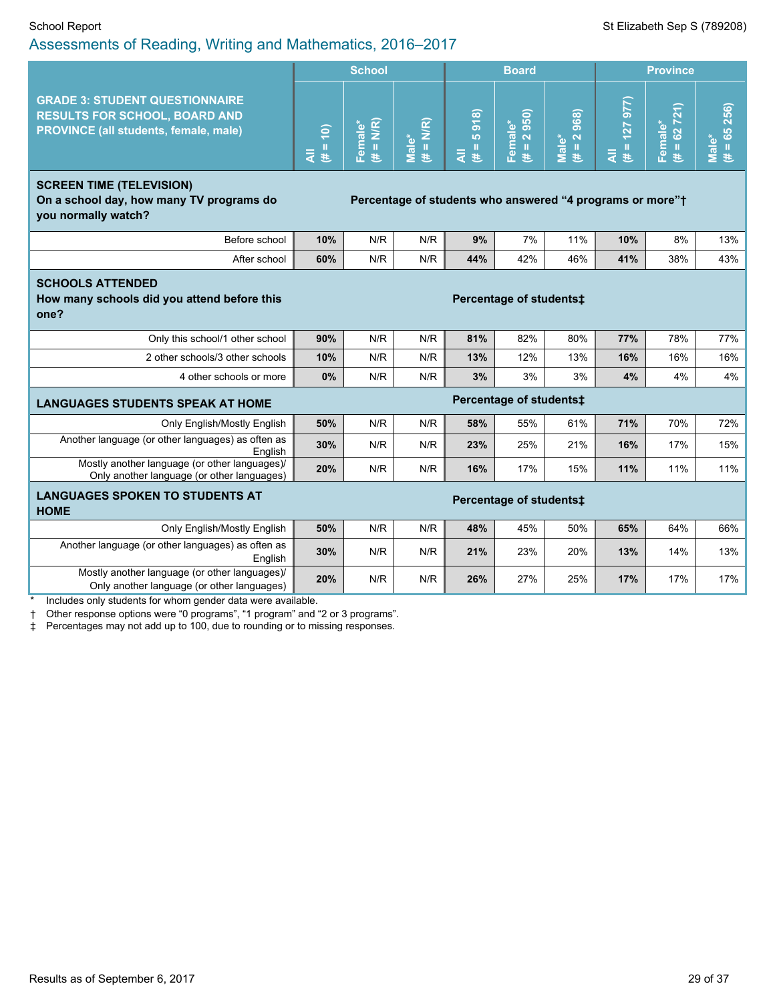|                                                                                                                               |                                                                       | <b>School</b>           |                       |                                   | <b>Board</b>                    |                                  |                  | <b>Province</b>        |                      |  |
|-------------------------------------------------------------------------------------------------------------------------------|-----------------------------------------------------------------------|-------------------------|-----------------------|-----------------------------------|---------------------------------|----------------------------------|------------------|------------------------|----------------------|--|
| <b>GRADE 3: STUDENT QUESTIONNAIRE</b><br><b>RESULTS FOR SCHOOL, BOARD AND</b><br><b>PROVINCE (all students, female, male)</b> | $(# = 10)$<br>$\bar{a}$                                               | $(\# = N/R)$<br>Female* | Male*<br>$(\# = N/R)$ | 5918<br>$\rm H$<br>$\bar{a}$<br>巷 | 2950)<br>Female*<br>$\,$ H<br>巷 | 2968)<br>Male*<br>$\rm{II}$<br>巷 | $= 127977$<br>ミミ | $H = 62721$<br>Female* | $# = 65256$<br>Male* |  |
| <b>SCREEN TIME (TELEVISION)</b><br>On a school day, how many TV programs do<br>you normally watch?                            | Percentage of students who answered "4 programs or more" <sup>+</sup> |                         |                       |                                   |                                 |                                  |                  |                        |                      |  |
| Before school                                                                                                                 | 10%                                                                   | N/R                     | N/R                   | 9%                                | 7%                              | 11%                              | 10%              | 8%                     | 13%                  |  |
| After school                                                                                                                  | 60%                                                                   | N/R                     | N/R                   | 44%                               | 42%                             | 46%                              | 41%              | 38%                    | 43%                  |  |
| <b>SCHOOLS ATTENDED</b><br>How many schools did you attend before this<br>one?                                                | Percentage of students:                                               |                         |                       |                                   |                                 |                                  |                  |                        |                      |  |
| Only this school/1 other school                                                                                               | 90%                                                                   | N/R                     | N/R                   | 81%                               | 82%                             | 80%                              | 77%              | 78%                    | 77%                  |  |
| 2 other schools/3 other schools                                                                                               | 10%                                                                   | N/R                     | N/R                   | 13%                               | 12%                             | 13%                              | 16%              | 16%                    | 16%                  |  |
| 4 other schools or more                                                                                                       | 0%                                                                    | N/R                     | N/R                   | 3%                                | 3%                              | 3%                               | 4%               | 4%                     | 4%                   |  |
| <b>LANGUAGES STUDENTS SPEAK AT HOME</b>                                                                                       |                                                                       |                         |                       |                                   | Percentage of students:         |                                  |                  |                        |                      |  |
| Only English/Mostly English                                                                                                   | 50%                                                                   | N/R                     | N/R                   | 58%                               | 55%                             | 61%                              | 71%              | 70%                    | 72%                  |  |
| Another language (or other languages) as often as<br>English                                                                  | 30%                                                                   | N/R                     | N/R                   | 23%                               | 25%                             | 21%                              | 16%              | 17%                    | 15%                  |  |
| Mostly another language (or other languages)/<br>Only another language (or other languages)                                   | 20%                                                                   | N/R                     | N/R                   | 16%                               | 17%                             | 15%                              | 11%              | 11%                    | 11%                  |  |
| <b>LANGUAGES SPOKEN TO STUDENTS AT</b><br><b>HOME</b>                                                                         |                                                                       |                         |                       |                                   | Percentage of students‡         |                                  |                  |                        |                      |  |
| Only English/Mostly English                                                                                                   | 50%                                                                   | N/R                     | N/R                   | 48%                               | 45%                             | 50%                              | 65%              | 64%                    | 66%                  |  |
| Another language (or other languages) as often as<br>English                                                                  | 30%                                                                   | N/R                     | N/R                   | 21%                               | 23%                             | 20%                              | 13%              | 14%                    | 13%                  |  |
| Mostly another language (or other languages)/<br>Only another language (or other languages)                                   | 20%                                                                   | N/R                     | N/R                   | 26%                               | 27%                             | 25%                              | 17%              | 17%                    | 17%                  |  |

\* Includes only students for whom gender data were available.

† Other response options were "0 programs", "1 program" and "2 or 3 programs".

‡ Percentages may not add up to 100, due to rounding or to missing responses.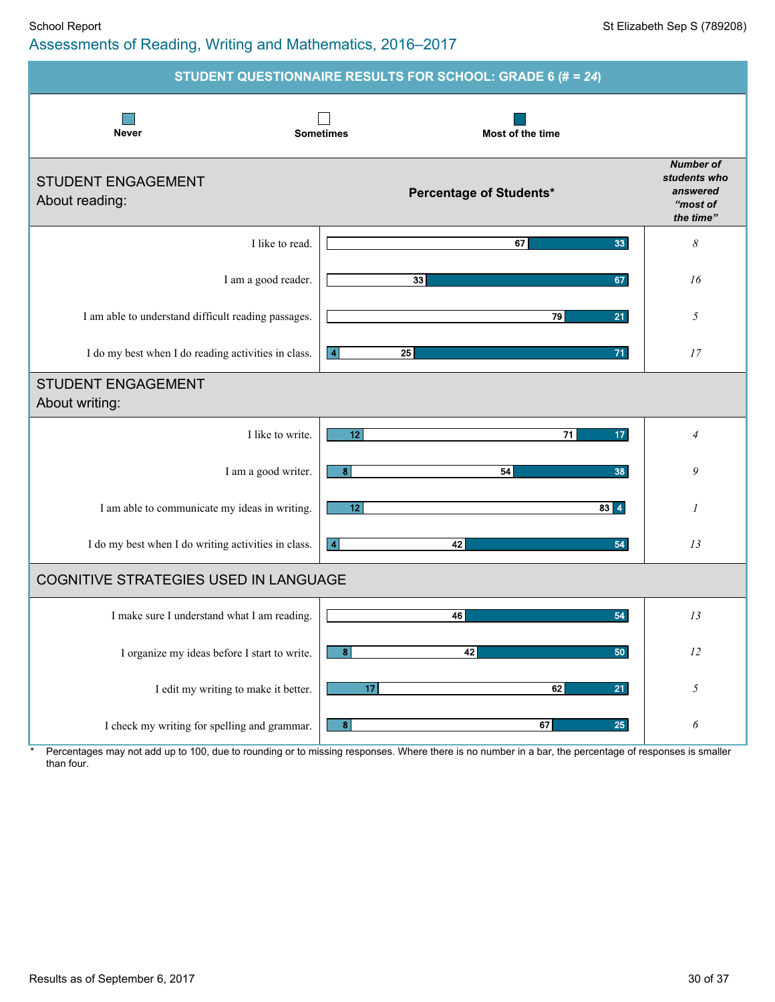### School Report School Report Superintendent Sep S (789208) Assessments of Reading, Writing and Mathematics, 2016–2017

|                                                     | STUDENT QUESTIONNAIRE RESULTS FOR SCHOOL: GRADE 6 (# = 24) |                                                                       |
|-----------------------------------------------------|------------------------------------------------------------|-----------------------------------------------------------------------|
| <b>Never</b>                                        | <b>Sometimes</b><br>Most of the time                       |                                                                       |
| <b>STUDENT ENGAGEMENT</b><br>About reading:         | Percentage of Students*                                    | <b>Number of</b><br>students who<br>answered<br>"most of<br>the time" |
| I like to read.                                     | 33<br>67                                                   | $\boldsymbol{\mathcal{S}}$                                            |
| I am a good reader.                                 | 33<br>67                                                   | 16                                                                    |
| I am able to understand difficult reading passages. | 79<br>21                                                   | 5                                                                     |
| I do my best when I do reading activities in class. | 25<br>71<br>$\vert$ 4                                      | 17                                                                    |
| <b>STUDENT ENGAGEMENT</b><br>About writing:         |                                                            |                                                                       |
| I like to write.                                    | 12<br>71<br>17 <sub>2</sub>                                | 4                                                                     |
| I am a good writer.                                 | 8<br>54<br>38                                              | 9                                                                     |
| I am able to communicate my ideas in writing.       | 12<br>$83 \mid 4$                                          | 1                                                                     |
| I do my best when I do writing activities in class. | 42<br>54<br>$\overline{4}$                                 | 13                                                                    |
| <b>COGNITIVE STRATEGIES USED IN LANGUAGE</b>        |                                                            |                                                                       |
| I make sure I understand what I am reading.         | 46<br>54                                                   | 13                                                                    |
| I organize my ideas before I start to write.        | 42<br>8<br>50                                              | 12                                                                    |
| I edit my writing to make it better.                | 17<br>62<br>21                                             | 5                                                                     |
| I check my writing for spelling and grammar.        | $\boldsymbol{8}$<br>67<br>25                               | 6                                                                     |

\* Percentages may not add up to 100, due to rounding or to missing responses. Where there is no number in a bar, the percentage of responses is smaller than four.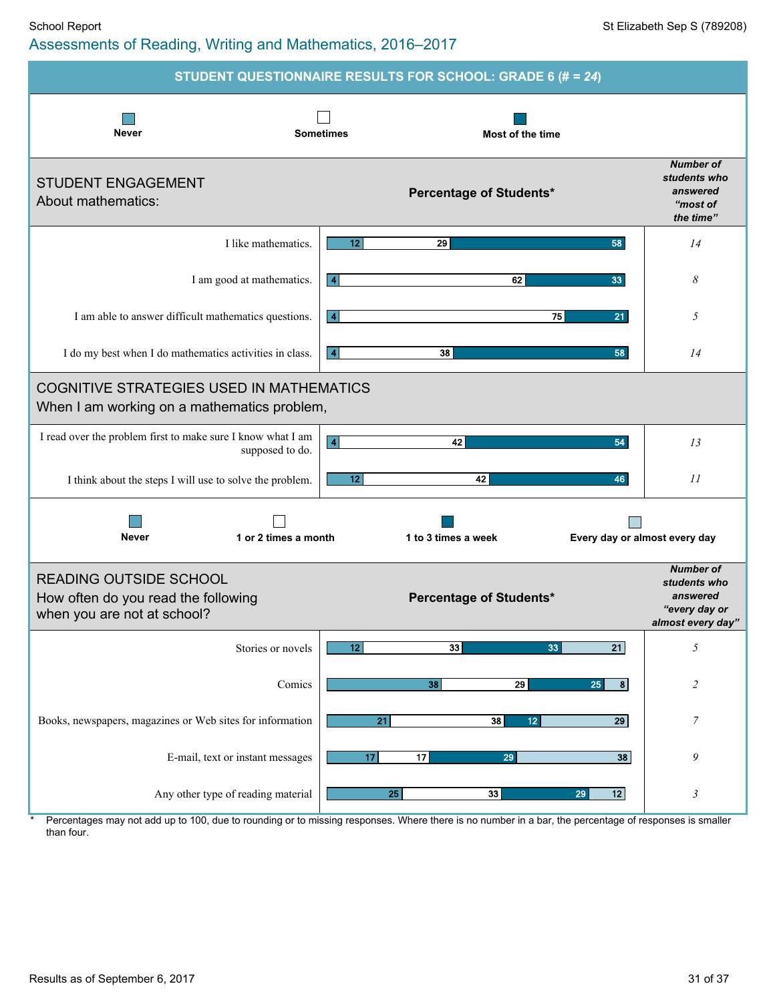### School Report School Report Superintendent Sep S (789208) Assessments of Reading, Writing and Mathematics, 2016–2017

|                                                                                                     | STUDENT QUESTIONNAIRE RESULTS FOR SCHOOL: GRADE 6 (# = 24) |                                                                                    |
|-----------------------------------------------------------------------------------------------------|------------------------------------------------------------|------------------------------------------------------------------------------------|
| <b>Never</b>                                                                                        | <b>Sometimes</b><br><b>Most of the time</b>                |                                                                                    |
| <b>STUDENT ENGAGEMENT</b><br>About mathematics:                                                     | Percentage of Students*                                    | <b>Number of</b><br>students who<br>answered<br>"most of<br>the time"              |
| I like mathematics.                                                                                 | 12<br>29<br>58                                             | 14                                                                                 |
| I am good at mathematics.                                                                           | 62<br>33<br>$\vert 4 \vert$                                | 8                                                                                  |
| I am able to answer difficult mathematics questions.                                                | 75<br>21<br>  4                                            | 5                                                                                  |
| I do my best when I do mathematics activities in class.                                             | 38<br>$\vert$ 4<br>58                                      | 14                                                                                 |
| <b>COGNITIVE STRATEGIES USED IN MATHEMATICS</b><br>When I am working on a mathematics problem,      |                                                            |                                                                                    |
| I read over the problem first to make sure I know what I am<br>supposed to do.                      | $\boxed{4}$<br>42<br>54                                    | 13                                                                                 |
| I think about the steps I will use to solve the problem.                                            | 12<br>42<br>46                                             | 11                                                                                 |
| <b>Never</b><br>1 or 2 times a month                                                                | 1 to 3 times a week<br>Every day or almost every day       |                                                                                    |
| <b>READING OUTSIDE SCHOOL</b><br>How often do you read the following<br>when you are not at school? | <b>Percentage of Students*</b>                             | <b>Number of</b><br>students who<br>answered<br>"every day or<br>almost every day" |
| Stories or novels                                                                                   | 33<br>$\overline{21}$<br>12 <sub>1</sub><br>33             | $\sqrt{2}$                                                                         |
| Comics                                                                                              | 29<br>25<br>8<br>38                                        | $\overline{c}$                                                                     |
| Books, newspapers, magazines or Web sites for information                                           | $\overline{21}$<br>38<br>12 <sub>2</sub><br>29             | 7                                                                                  |
| E-mail, text or instant messages                                                                    | 17<br>$\overline{17}$<br>38<br>29                          | 9                                                                                  |
| Any other type of reading material                                                                  | 25 <sub>1</sub><br>33<br>12<br>29                          | $\mathfrak{Z}$                                                                     |

Percentages may not add up to 100, due to rounding or to missing responses. Where there is no number in a bar, the percentage of responses is smaller than four.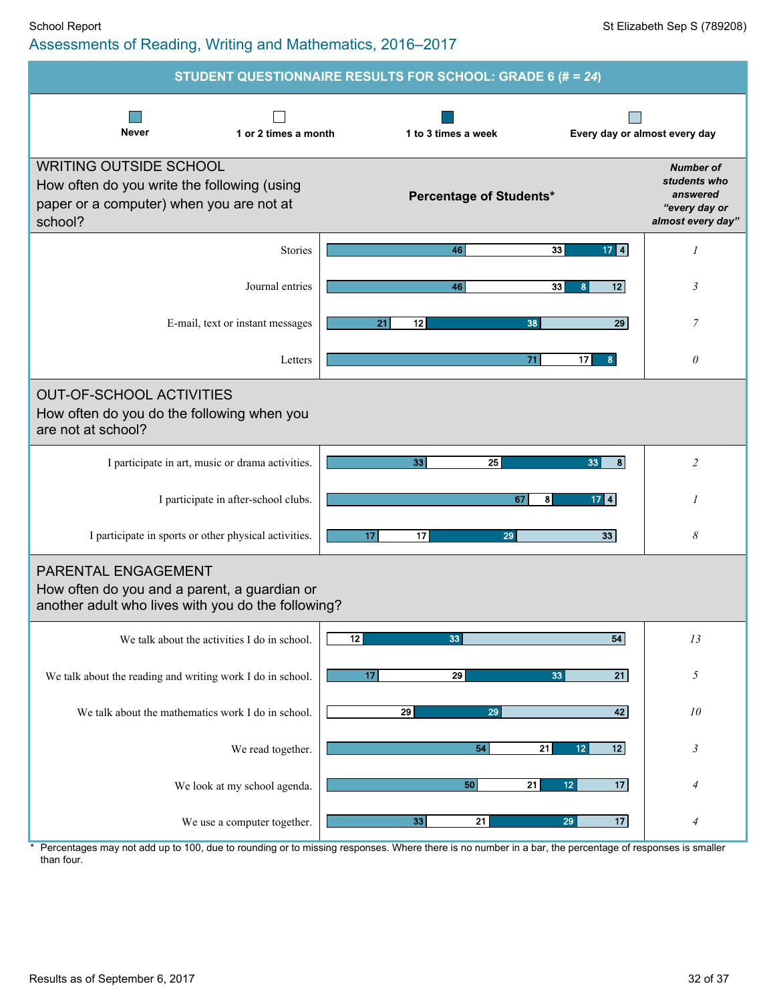|                                                                                                                                     | STUDENT QUESTIONNAIRE RESULTS FOR SCHOOL: GRADE 6 (# = 24) |                                                                                    |
|-------------------------------------------------------------------------------------------------------------------------------------|------------------------------------------------------------|------------------------------------------------------------------------------------|
| <b>Never</b><br>1 or 2 times a month                                                                                                | 1 to 3 times a week                                        | Every day or almost every day                                                      |
| <b>WRITING OUTSIDE SCHOOL</b><br>How often do you write the following (using<br>paper or a computer) when you are not at<br>school? | Percentage of Students*                                    | <b>Number of</b><br>students who<br>answered<br>"every day or<br>almost every day" |
| <b>Stories</b>                                                                                                                      | 33<br>$17$ $4$<br>46                                       | 1                                                                                  |
| Journal entries                                                                                                                     | 46<br>33<br>12<br>8                                        | 3                                                                                  |
| E-mail, text or instant messages                                                                                                    | 21<br>12<br>38                                             | 29<br>$\overline{7}$                                                               |
| Letters                                                                                                                             | 71<br>17<br>8 <sub>o</sub>                                 | $\theta$                                                                           |
| <b>OUT-OF-SCHOOL ACTIVITIES</b><br>How often do you do the following when you<br>are not at school?                                 |                                                            |                                                                                    |
| I participate in art, music or drama activities.                                                                                    | 33<br>25<br>33                                             | 8 <sup>1</sup><br>$\overline{c}$                                                   |
| I participate in after-school clubs.                                                                                                | 67<br>8<br>$17$ 4                                          | 1                                                                                  |
| I participate in sports or other physical activities.                                                                               | 17<br>17<br>29<br>33                                       | 8                                                                                  |
| PARENTAL ENGAGEMENT<br>How often do you and a parent, a guardian or<br>another adult who lives with you do the following?           |                                                            |                                                                                    |
| We talk about the activities I do in school.                                                                                        | 12<br>54<br>33                                             | 13                                                                                 |
| We talk about the reading and writing work I do in school.                                                                          | 29<br>17<br>33                                             | 21<br>$\sqrt{2}$                                                                   |
| We talk about the mathematics work I do in school.                                                                                  | 29<br>29                                                   | 42<br>10                                                                           |
| We read together.                                                                                                                   | 54<br>21<br>12<br>12                                       | $\mathfrak{Z}$                                                                     |
| We look at my school agenda.                                                                                                        | $\overline{21}$<br>50<br>12 <sub>12</sub>                  | 17<br>4                                                                            |
| We use a computer together.                                                                                                         | 33 <sup>5</sup><br>$\overline{21}$<br>29                   | 17<br>$\overline{4}$                                                               |

\* Percentages may not add up to 100, due to rounding or to missing responses. Where there is no number in a bar, the percentage of responses is smaller than four.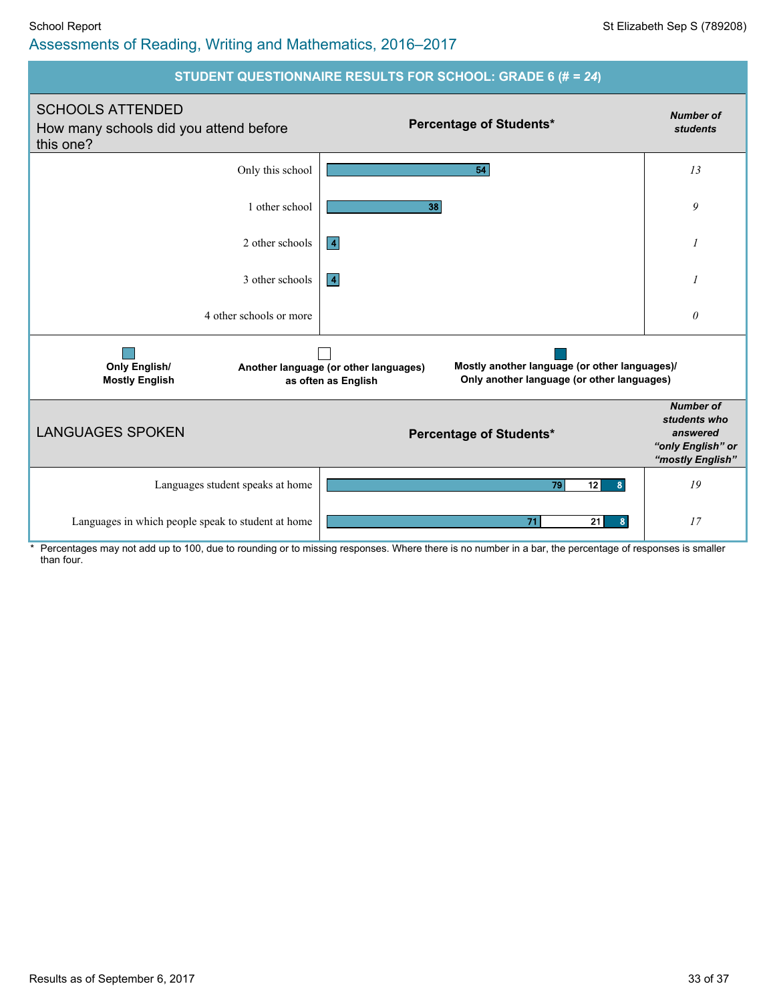### School Report St Elizabeth Sep S (789208) Assessments of Reading, Writing and Mathematics, 2016–2017



Percentages may not add up to 100, due to rounding or to missing responses. Where there is no number in a bar, the percentage of responses is smaller than four.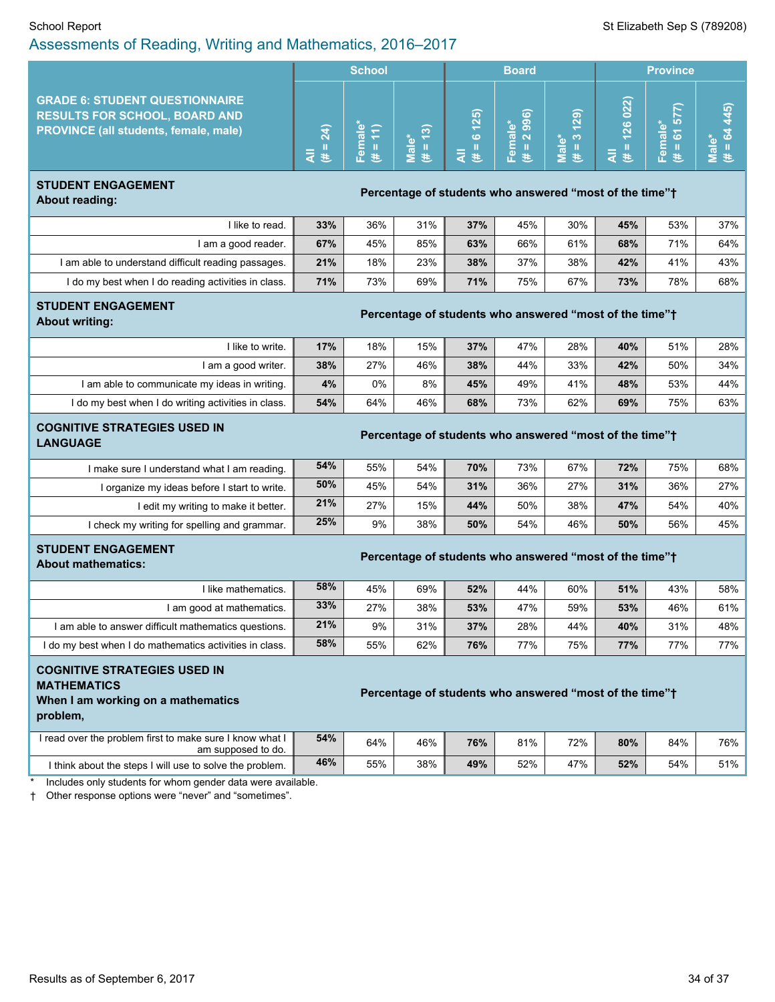|                                                                                                                               | <b>School</b>                    |    |              | <b>Board</b>           |                                                        |                | <b>Province</b>         |                                |               |
|-------------------------------------------------------------------------------------------------------------------------------|----------------------------------|----|--------------|------------------------|--------------------------------------------------------|----------------|-------------------------|--------------------------------|---------------|
| <b>GRADE 6: STUDENT QUESTIONNAIRE</b><br><b>RESULTS FOR SCHOOL, BOARD AND</b><br><b>PROVINCE (all students, female, male)</b> | ډ<br>$\mathbf{\tilde{N}}$<br>そ を | п. | ၐ<br>۴ò<br>ಹ | (25)<br>$\bullet$<br>巷 | ര<br>ာ<br>െ<br>Ф<br>$\overline{5}$ $\overline{6}$<br>ᇰ | ெ<br>*ౖ ෆ<br>高 | 022)<br>126<br>$=$<br>医 | C<br>ᢛ<br>ъ<br><b>CO</b><br>π. | $\widehat{5}$ |

#### **STUDENT ENGAGEMENT About reading: Percentage** of students who answered "most of the time"<sup>+</sup> About reading:

| like to read.                                       | 33% | 36% | 31% | 37% | 45% | 30% | 45% | 53% | 37% |
|-----------------------------------------------------|-----|-----|-----|-----|-----|-----|-----|-----|-----|
| I am a good reader.                                 | 67% | 45% | 85% | 63% | 66% | 61% | 68% | 71% | 64% |
| I am able to understand difficult reading passages. | 21% | 18% | 23% | 38% | 37% | 38% | 42% | 41% | 43% |
| I do my best when I do reading activities in class. | 71% | 73% | 69% | 71% | 75% | 67% | 73% | 78% | 68% |

#### **STUDENT ENGAGEMENT**

**About writing: About writing: Percentage** of students who answered "most of the time"<sup>†</sup>

| I like to write.                                    | 17% | 18% | 15% | 37% | 47% | 28% | 40% | 51% | 28% |
|-----------------------------------------------------|-----|-----|-----|-----|-----|-----|-----|-----|-----|
| I am a good writer.                                 | 38% | 27% | 46% | 38% | 44% | 33% | 42% | 50% | 34% |
| I am able to communicate my ideas in writing.       | 4%  | 0%  | 8%  | 45% | 49% | 41% | 48% | 53% | 44% |
| I do my best when I do writing activities in class. | 54% | 64% | 46% | 68% | 73% | 62% | 69% | 75% | 63% |
|                                                     |     |     |     |     |     |     |     |     |     |

#### **COGNITIVE STRATEGIES USED IN LANGUAGE Percentage** of **students** who answered "most of the time"<sup>+</sup><br>LANGUAGE

| I make sure I understand what I am reading.  | 54% | 55% | 54% | 70% | 73% | 67% | 72% | 75% | 68% |
|----------------------------------------------|-----|-----|-----|-----|-----|-----|-----|-----|-----|
| I organize my ideas before I start to write. | 50% | 45% | 54% | 31% | 36% | 27% | 31% | 36% | 27% |
| l edit my writing to make it better.         | 21% | 27% | 15% | 44% | 50% | 38% | 47% | 54% | 40% |
| I check my writing for spelling and grammar. | 25% | 9%  | 38% | 50% | 54% | 46% | 50% | 56% | 45% |

# **STUDENT ENGAGEMENT**

# **About** mathematics: *Percentage* of students who answered "most of the time"<sup>+</sup> About mathematics:

| I like mathematics.                                     | 58% | 45% | 69% | 52% | 44% | 60% | 51% | 43% | 58% |
|---------------------------------------------------------|-----|-----|-----|-----|-----|-----|-----|-----|-----|
| I am good at mathematics.                               | 33% | 27% | 38% | 53% | 47% | 59% | 53% | 46% | 61% |
| I am able to answer difficult mathematics questions.    | 21% | 9%  | 31% | 37% | 28% | 44% | 40% | 31% | 48% |
| I do my best when I do mathematics activities in class. | 58% | 55% | 62% | 76% | 77% | 75% | 77% | 77% | 77% |

# **COGNITIVE STRATEGIES USED IN MATHEMATICS When I am working on a mathematics**

#### **Percentage of students who answered "most of the time"** $\dagger$

**problem,**

| I read over the problem first to make sure I know what I<br>am supposed to do. | 54% | 64% | 46% | 76% | 81% | 72% | 80% | 84% | 76% |
|--------------------------------------------------------------------------------|-----|-----|-----|-----|-----|-----|-----|-----|-----|
| I think about the steps I will use to solve the problem.                       | 46% | 55% | 38% | 49% | 52% | 47% | 52% | 54% | 51% |

Includes only students for whom gender data were available.

† Other response options were "never" and "sometimes".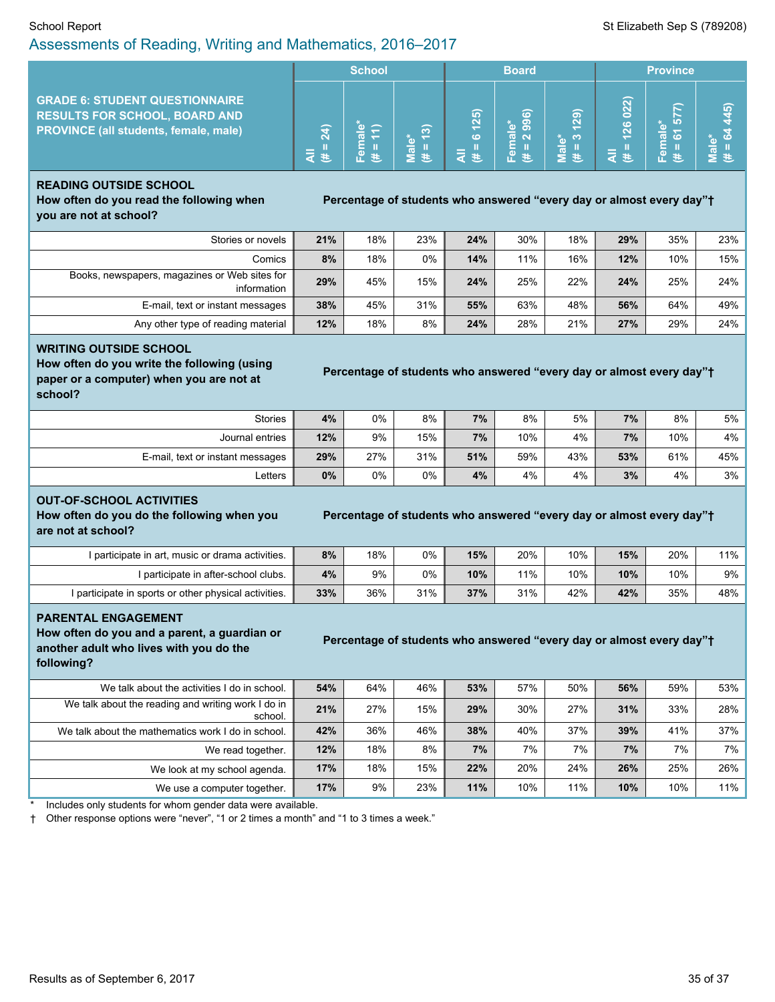#### School Report St Elizabeth Sep S (789208) Assessments of Reading, Writing and Mathematics, 2016–2017

|                                                                                                                               | <b>School</b>         |              | <b>Board</b>                           |                        |                                                                                          | <b>Province</b> |                       |                                     |                     |
|-------------------------------------------------------------------------------------------------------------------------------|-----------------------|--------------|----------------------------------------|------------------------|------------------------------------------------------------------------------------------|-----------------|-----------------------|-------------------------------------|---------------------|
| <b>GRADE 6: STUDENT QUESTIONNAIRE</b><br><b>RESULTS FOR SCHOOL, BOARD AND</b><br><b>PROVINCE (all students, female, male)</b> | $\overline{a}$<br>ਟ ≛ | т<br>π.<br>ъ | ၐ<br>ര<br>$\overline{\mathbf{c}}$<br>巷 | (25)<br>$\bullet$<br>巷 | $\widehat{\boldsymbol{\omega}}$<br>စ<br>$\omega$<br>െ<br>$\sigma$ $\sim$<br>em<br>O<br>æ | ெ<br>*లో<br>旨   | 022)<br>126<br>Е<br>æ | ᠆<br>ю<br><b>CO</b><br>w.<br>高<br>푠 | $\widehat{5}$<br>ĸο |

# **READING OUTSIDE SCHOOL How often do you read the following when**

**Percentage of students who answered "every day or almost every day"<sup>+</sup>** 

**you are not at school?**

| Stories or novels                                            | 21% | 18% | 23% | 24% | 30% | 18% | 29% | 35% | 23% |
|--------------------------------------------------------------|-----|-----|-----|-----|-----|-----|-----|-----|-----|
| Comics                                                       | 8%  | 18% | 0%  | 14% | 11% | 16% | 12% | 10% | 15% |
| Books, newspapers, magazines or Web sites for<br>information | 29% | 45% | 15% | 24% | 25% | 22% | 24% | 25% | 24% |
| E-mail, text or instant messages                             | 38% | 45% | 31% | 55% | 63% | 48% | 56% | 64% | 49% |
| Any other type of reading material                           | 12% | 18% | 8%  | 24% | 28% | 21% | 27% | 29% | 24% |

#### **WRITING OUTSIDE SCHOOL**

**How often do you write the following (using paper or a computer) when you are not at school?**

|  |  | Percentage of students who answered "every day or almost every day"† |  |
|--|--|----------------------------------------------------------------------|--|
|  |  |                                                                      |  |

| <b>Stories</b>                   | 4%    | 0%  | 8%    | 7%  | 8%  | 5%  | 7%  | 8%  | $5\%$ |
|----------------------------------|-------|-----|-------|-----|-----|-----|-----|-----|-------|
| Journal entries                  | 12%   | 9%  | 15%   | 7%  | 10% | 4%  | 7%  | 10% | $4\%$ |
| E-mail, text or instant messages | 29%   | 27% | 31%   | 51% | 59% | 43% | 53% | 61% | 45%   |
| ∟etters                          | $0\%$ | 0%  | $0\%$ | 4%  | 4%  | 4%  | 3%  | 4%  | $3\%$ |

#### **OUT-OF-SCHOOL ACTIVITIES**

**How often do you do the following when you are not at school?**

#### **Percentage of students who answered "every day or almost every day"<sup>+</sup>**

I participate in art, music or drama activities. **8%** 18% 0% **15%** 20% 10% **15%** 20% 11% I participate in after-school clubs. **4%** 9% 0% **10%** 11% 10% **10%** 10% 9% I participate in sports or other physical activities. **33%** 36% 31% **37%** 31% 42% **42%** 35% 48%

#### **PARENTAL ENGAGEMENT**

**How often do you and a parent, a guardian or another adult who lives with you do the following?**

#### **Percentage of students who answered "every day or almost every day"<sup>+</sup>**

| We talk about the activities I do in school.                  | 54% | 64% | 46% | 53% | 57% | 50% | 56% | 59% | $53\%$ |
|---------------------------------------------------------------|-----|-----|-----|-----|-----|-----|-----|-----|--------|
| We talk about the reading and writing work I do in<br>school. | 21% | 27% | 15% | 29% | 30% | 27% | 31% | 33% | $28\%$ |
| We talk about the mathematics work I do in school.            | 42% | 36% | 46% | 38% | 40% | 37% | 39% | 41% | $37\%$ |
| We read together.                                             | 12% | 18% | 8%  | 7%  | 7%  | 7%  | 7%  | 7%  | $7\%$  |
| We look at my school agenda.                                  | 17% | 18% | 15% | 22% | 20% | 24% | 26% | 25% | $26\%$ |
| We use a computer together.                                   | 17% | 9%  | 23% | 11% | 10% | 11% | 10% | 10% | $11\%$ |

Includes only students for whom gender data were available.

† Other response options were "never", "1 or 2 times a month" and "1 to 3 times a week."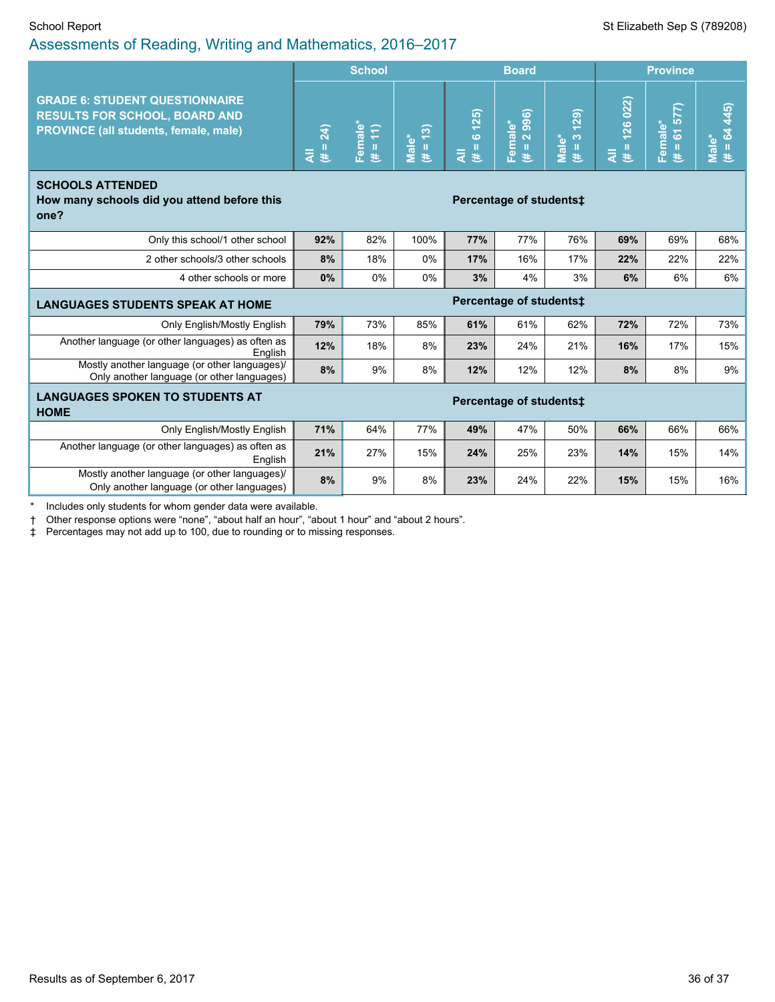|                                                                                                                               | <b>School</b> |                                                     |                                  |                           | <b>Board</b>                  |                                                |                                          | <b>Province</b>        |                      |  |
|-------------------------------------------------------------------------------------------------------------------------------|---------------|-----------------------------------------------------|----------------------------------|---------------------------|-------------------------------|------------------------------------------------|------------------------------------------|------------------------|----------------------|--|
| <b>GRADE 6: STUDENT QUESTIONNAIRE</b><br><b>RESULTS FOR SCHOOL, BOARD AND</b><br><b>PROVINCE (all students, female, male)</b> |               | Female* $(\texttt{\#} = \texttt{11})$<br>$\epsilon$ | $\overline{H}$ = 13)<br>$Male^*$ | 6(125)<br>$\ddot{t}$<br>₹ | 2996)<br>Female*<br>(# = 2 99 | (23)<br>$\infty$<br>Male*<br>$\mathbf{H}$<br>巷 | 126 022<br>$\overline{4}$ $\overline{4}$ | $# = 61577$<br>Female* | $# = 64445$<br>Male* |  |
| <b>SCHOOLS ATTENDED</b><br>How many schools did you attend before this<br>one?                                                |               |                                                     |                                  |                           | Percentage of students:       |                                                |                                          |                        |                      |  |
| Only this school/1 other school                                                                                               | 92%           | 82%                                                 | 100%                             | 77%                       | 77%                           | 76%                                            | 69%                                      | 69%                    | 68%                  |  |
| 2 other schools/3 other schools                                                                                               | 8%            | 18%                                                 | 0%                               | 17%                       | 16%                           | 17%                                            | 22%                                      | 22%                    | 22%                  |  |
| 4 other schools or more                                                                                                       | 0%            | 0%                                                  | 0%                               | 3%                        | 4%                            | 3%                                             | 6%                                       | 6%                     | 6%                   |  |
| <b>LANGUAGES STUDENTS SPEAK AT HOME</b>                                                                                       |               |                                                     | Percentage of students‡          |                           |                               |                                                |                                          |                        |                      |  |
| Only English/Mostly English                                                                                                   | 79%           | 73%                                                 | 85%                              | 61%                       | 61%                           | 62%                                            | 72%                                      | 72%                    | 73%                  |  |
| Another language (or other languages) as often as<br>English                                                                  | 12%           | 18%                                                 | 8%                               | 23%                       | 24%                           | 21%                                            | 16%                                      | 17%                    | 15%                  |  |
| Mostly another language (or other languages)/<br>Only another language (or other languages)                                   | 8%            | 9%                                                  | 8%                               | 12%                       | 12%                           | 12%                                            | 8%                                       | 8%                     | 9%                   |  |
| <b>LANGUAGES SPOKEN TO STUDENTS AT</b><br>Percentage of students:<br><b>HOME</b>                                              |               |                                                     |                                  |                           |                               |                                                |                                          |                        |                      |  |
| Only English/Mostly English                                                                                                   | 71%           | 64%                                                 | 77%                              | 49%                       | 47%                           | 50%                                            | 66%                                      | 66%                    | 66%                  |  |
| Another language (or other languages) as often as<br>English                                                                  | 21%           | 27%                                                 | 15%                              | 24%                       | 25%                           | 23%                                            | 14%                                      | 15%                    | 14%                  |  |
| Mostly another language (or other languages)/<br>Only another language (or other languages)                                   | 8%            | 9%                                                  | 8%                               | 23%                       | 24%                           | 22%                                            | 15%                                      | 15%                    | 16%                  |  |
| Includes only students for whom gender data were available.                                                                   |               |                                                     |                                  |                           |                               |                                                |                                          |                        |                      |  |

† Other response options were "none", "about half an hour", "about 1 hour" and "about 2 hours".

‡ Percentages may not add up to 100, due to rounding or to missing responses.